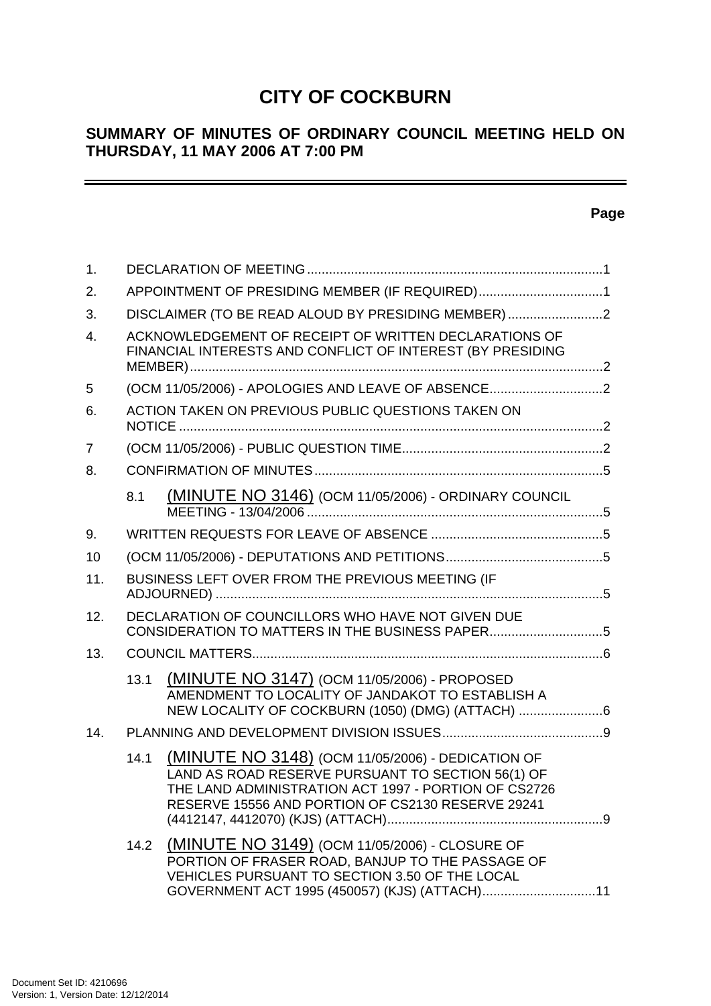## **CITY OF COCKBURN**

## **SUMMARY OF MINUTES OF ORDINARY COUNCIL MEETING HELD ON THURSDAY, 11 MAY 2006 AT 7:00 PM**

### **Page**

| $\mathbf{1}$ .   |                                                     |                                                                                                                                                                                                                     |  |  |  |  |
|------------------|-----------------------------------------------------|---------------------------------------------------------------------------------------------------------------------------------------------------------------------------------------------------------------------|--|--|--|--|
| 2.               | APPOINTMENT OF PRESIDING MEMBER (IF REQUIRED)1      |                                                                                                                                                                                                                     |  |  |  |  |
| 3.               | DISCLAIMER (TO BE READ ALOUD BY PRESIDING MEMBER) 2 |                                                                                                                                                                                                                     |  |  |  |  |
| $\overline{4}$ . |                                                     | ACKNOWLEDGEMENT OF RECEIPT OF WRITTEN DECLARATIONS OF<br>FINANCIAL INTERESTS AND CONFLICT OF INTEREST (BY PRESIDING                                                                                                 |  |  |  |  |
| 5                | (OCM 11/05/2006) - APOLOGIES AND LEAVE OF ABSENCE   |                                                                                                                                                                                                                     |  |  |  |  |
| 6.               |                                                     | ACTION TAKEN ON PREVIOUS PUBLIC QUESTIONS TAKEN ON                                                                                                                                                                  |  |  |  |  |
| $\overline{7}$   |                                                     |                                                                                                                                                                                                                     |  |  |  |  |
| 8.               |                                                     |                                                                                                                                                                                                                     |  |  |  |  |
|                  | 8.1                                                 | (MINUTE NO 3146) (OCM 11/05/2006) - ORDINARY COUNCIL                                                                                                                                                                |  |  |  |  |
| 9.               |                                                     |                                                                                                                                                                                                                     |  |  |  |  |
| 10               |                                                     |                                                                                                                                                                                                                     |  |  |  |  |
| 11.              | BUSINESS LEFT OVER FROM THE PREVIOUS MEETING (IF    |                                                                                                                                                                                                                     |  |  |  |  |
| 12.              |                                                     | DECLARATION OF COUNCILLORS WHO HAVE NOT GIVEN DUE<br>CONSIDERATION TO MATTERS IN THE BUSINESS PAPER5                                                                                                                |  |  |  |  |
| 13.              |                                                     |                                                                                                                                                                                                                     |  |  |  |  |
|                  | 13.1                                                | (MINUTE NO 3147) (OCM 11/05/2006) - PROPOSED<br>AMENDMENT TO LOCALITY OF JANDAKOT TO ESTABLISH A<br>NEW LOCALITY OF COCKBURN (1050) (DMG) (ATTACH) 6                                                                |  |  |  |  |
| 14.              |                                                     |                                                                                                                                                                                                                     |  |  |  |  |
|                  | 14.1                                                | (MINUTE NO 3148) (OCM 11/05/2006) - DEDICATION OF<br>LAND AS ROAD RESERVE PURSUANT TO SECTION 56(1) OF<br>THE LAND ADMINISTRATION ACT 1997 - PORTION OF CS2726<br>RESERVE 15556 AND PORTION OF CS2130 RESERVE 29241 |  |  |  |  |
|                  | 14.2                                                | (MINUTE NO 3149) (OCM 11/05/2006) - CLOSURE OF<br>PORTION OF FRASER ROAD, BANJUP TO THE PASSAGE OF<br>VEHICLES PURSUANT TO SECTION 3.50 OF THE LOCAL<br>GOVERNMENT ACT 1995 (450057) (KJS) (ATTACH)11               |  |  |  |  |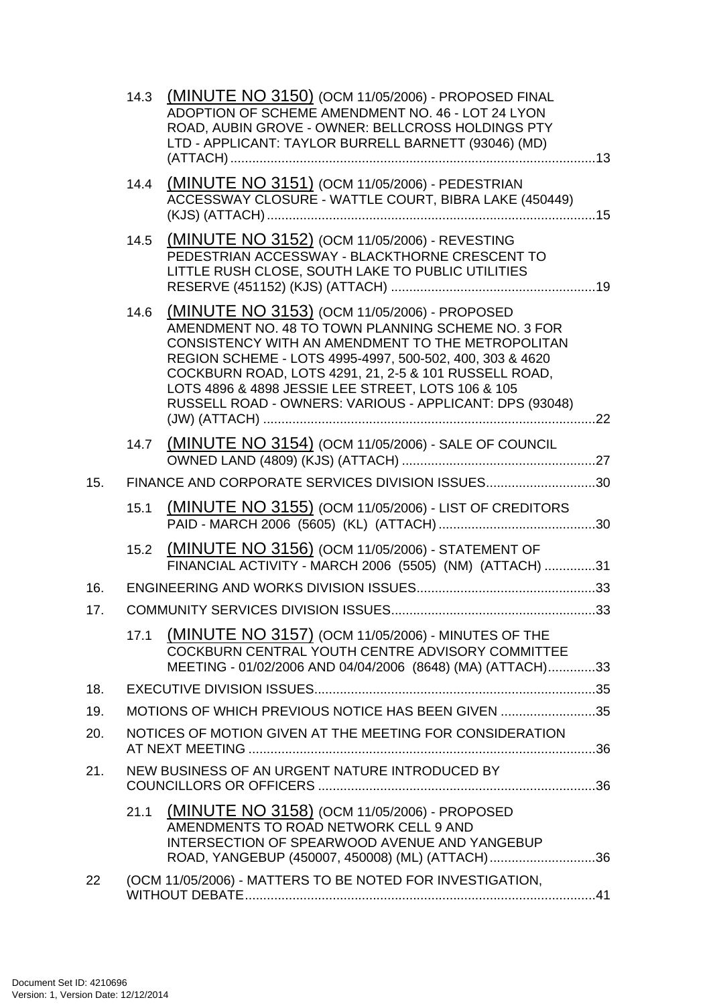|     | 14.3 | (MINUTE NO 3150) (OCM 11/05/2006) - PROPOSED FINAL<br>ADOPTION OF SCHEME AMENDMENT NO. 46 - LOT 24 LYON<br>ROAD, AUBIN GROVE - OWNER: BELLCROSS HOLDINGS PTY<br>LTD - APPLICANT: TAYLOR BURRELL BARNETT (93046) (MD)                                                                                                                                                                                  |  |
|-----|------|-------------------------------------------------------------------------------------------------------------------------------------------------------------------------------------------------------------------------------------------------------------------------------------------------------------------------------------------------------------------------------------------------------|--|
|     | 14.4 | (MINUTE NO 3151) (OCM 11/05/2006) - PEDESTRIAN<br>ACCESSWAY CLOSURE - WATTLE COURT, BIBRA LAKE (450449)                                                                                                                                                                                                                                                                                               |  |
|     | 14.5 | (MINUTE NO 3152) (OCM 11/05/2006) - REVESTING<br>PEDESTRIAN ACCESSWAY - BLACKTHORNE CRESCENT TO<br>LITTLE RUSH CLOSE, SOUTH LAKE TO PUBLIC UTILITIES                                                                                                                                                                                                                                                  |  |
|     | 14.6 | (MINUTE NO 3153) (OCM 11/05/2006) - PROPOSED<br>AMENDMENT NO. 48 TO TOWN PLANNING SCHEME NO. 3 FOR<br>CONSISTENCY WITH AN AMENDMENT TO THE METROPOLITAN<br>REGION SCHEME - LOTS 4995-4997, 500-502, 400, 303 & 4620<br>COCKBURN ROAD, LOTS 4291, 21, 2-5 & 101 RUSSELL ROAD,<br>LOTS 4896 & 4898 JESSIE LEE STREET, LOTS 106 & 105<br>RUSSELL ROAD - OWNERS: VARIOUS - APPLICANT: DPS (93048)<br>. 22 |  |
|     | 14.7 | <b>(MINUTE NO 3154)</b> (OCM 11/05/2006) - SALE OF COUNCIL                                                                                                                                                                                                                                                                                                                                            |  |
| 15. |      | FINANCE AND CORPORATE SERVICES DIVISION ISSUES30                                                                                                                                                                                                                                                                                                                                                      |  |
|     | 15.1 | <b>(MINUTE NO 3155)</b> (OCM 11/05/2006) - LIST OF CREDITORS                                                                                                                                                                                                                                                                                                                                          |  |
|     |      | 15.2 (MINUTE NO 3156) (OCM 11/05/2006) - STATEMENT OF<br>FINANCIAL ACTIVITY - MARCH 2006 (5505) (NM) (ATTACH) 31                                                                                                                                                                                                                                                                                      |  |
| 16. |      |                                                                                                                                                                                                                                                                                                                                                                                                       |  |
| 17. |      |                                                                                                                                                                                                                                                                                                                                                                                                       |  |
|     | 17.1 | (MINUTE NO 3157) (OCM 11/05/2006) - MINUTES OF THE<br>COCKBURN CENTRAL YOUTH CENTRE ADVISORY COMMITTEE<br>MEETING - 01/02/2006 AND 04/04/2006 (8648) (MA) (ATTACH)33                                                                                                                                                                                                                                  |  |
| 18. |      |                                                                                                                                                                                                                                                                                                                                                                                                       |  |
| 19. |      | MOTIONS OF WHICH PREVIOUS NOTICE HAS BEEN GIVEN 35                                                                                                                                                                                                                                                                                                                                                    |  |
| 20. |      | NOTICES OF MOTION GIVEN AT THE MEETING FOR CONSIDERATION                                                                                                                                                                                                                                                                                                                                              |  |
| 21. |      | NEW BUSINESS OF AN URGENT NATURE INTRODUCED BY                                                                                                                                                                                                                                                                                                                                                        |  |
|     | 21.1 | (MINUTE NO 3158) (OCM 11/05/2006) - PROPOSED<br>AMENDMENTS TO ROAD NETWORK CELL 9 AND<br>INTERSECTION OF SPEARWOOD AVENUE AND YANGEBUP<br>ROAD, YANGEBUP (450007, 450008) (ML) (ATTACH)36                                                                                                                                                                                                             |  |
| 22  |      | (OCM 11/05/2006) - MATTERS TO BE NOTED FOR INVESTIGATION,                                                                                                                                                                                                                                                                                                                                             |  |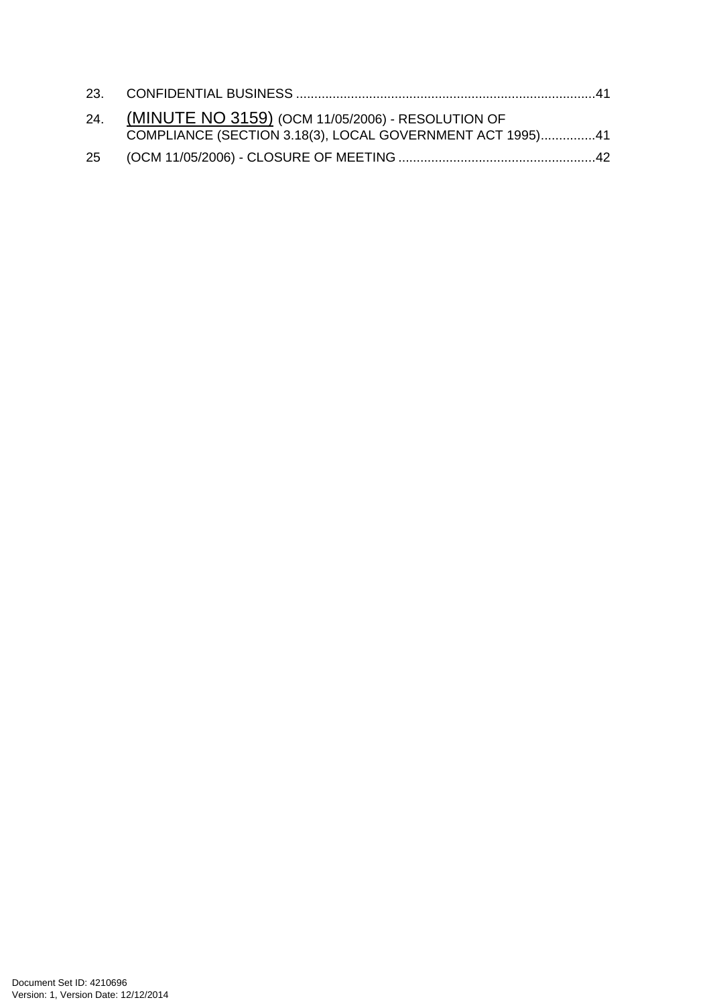| 24. (MINUTE NO 3159) (OCM 11/05/2006) - RESOLUTION OF<br>COMPLIANCE (SECTION 3.18(3), LOCAL GOVERNMENT ACT 1995)41 |
|--------------------------------------------------------------------------------------------------------------------|
|                                                                                                                    |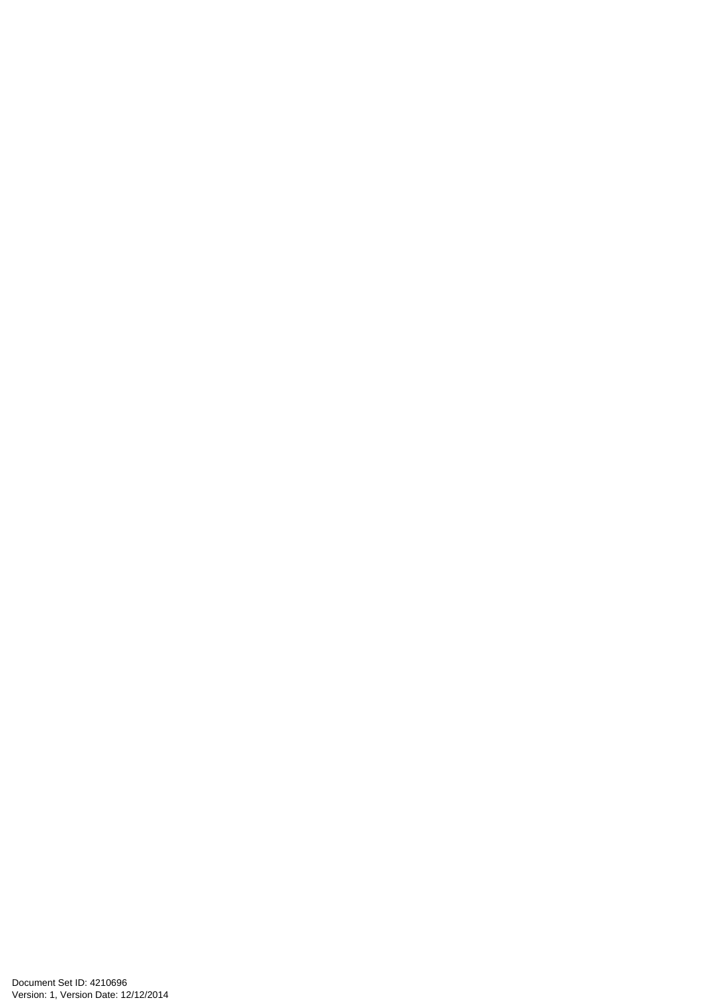Document Set ID: 4210696<br>Version: 1, Version Date: 12/12/2014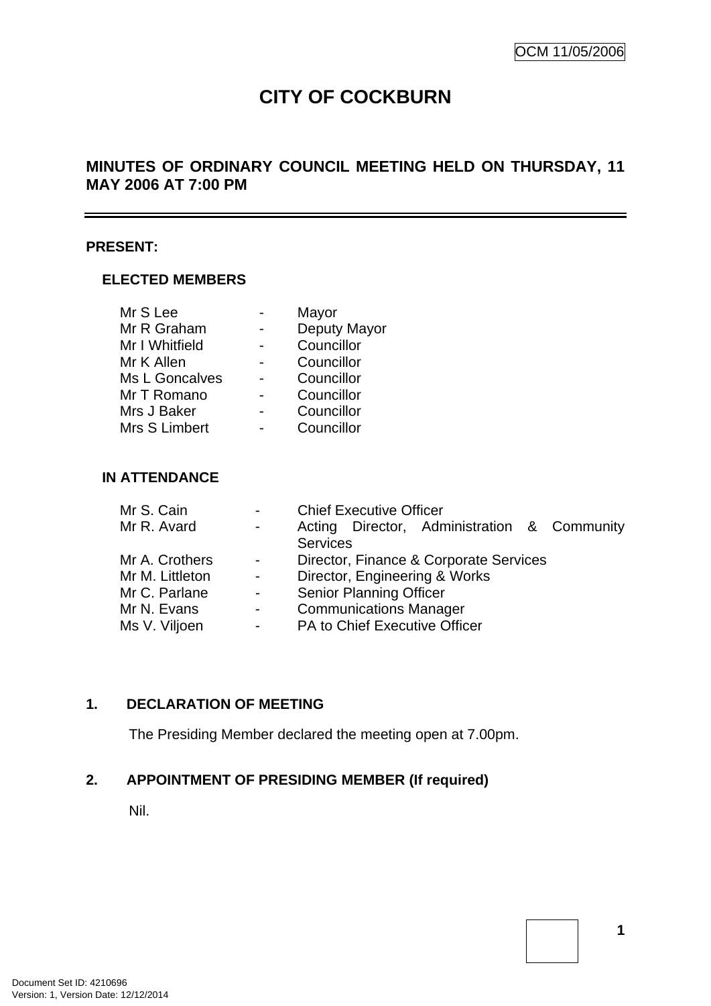## **CITY OF COCKBURN**

### <span id="page-4-0"></span>**MINUTES OF ORDINARY COUNCIL MEETING HELD ON THURSDAY, 11 MAY 2006 AT 7:00 PM**

### **PRESENT:**

#### **ELECTED MEMBERS**

| Mr S Lee       | Mayor        |
|----------------|--------------|
| Mr R Graham    | Deputy Mayor |
| Mr I Whitfield | Councillor   |
| Mr K Allen     | Councillor   |
| Ms L Goncalves | Councillor   |
| Mr T Romano    | Councillor   |
| Mrs J Baker    | Councillor   |
| Mrs S Limbert  | Councillor   |

### **IN ATTENDANCE**

| Mr S. Cain      | $\blacksquare$ | <b>Chief Executive Officer</b>              |  |  |  |  |
|-----------------|----------------|---------------------------------------------|--|--|--|--|
| Mr R. Avard     | $\sim 100$     | Acting Director, Administration & Community |  |  |  |  |
|                 |                | <b>Services</b>                             |  |  |  |  |
| Mr A. Crothers  | $\blacksquare$ | Director, Finance & Corporate Services      |  |  |  |  |
| Mr M. Littleton | $\sim 100$     | Director, Engineering & Works               |  |  |  |  |
| Mr C. Parlane   | $\blacksquare$ | <b>Senior Planning Officer</b>              |  |  |  |  |
| Mr N. Evans     | $\blacksquare$ | <b>Communications Manager</b>               |  |  |  |  |
| Ms V. Viljoen   | $\sim$         | PA to Chief Executive Officer               |  |  |  |  |

### **1. DECLARATION OF MEETING**

The Presiding Member declared the meeting open at 7.00pm.

### **2. APPOINTMENT OF PRESIDING MEMBER (If required)**

Nil.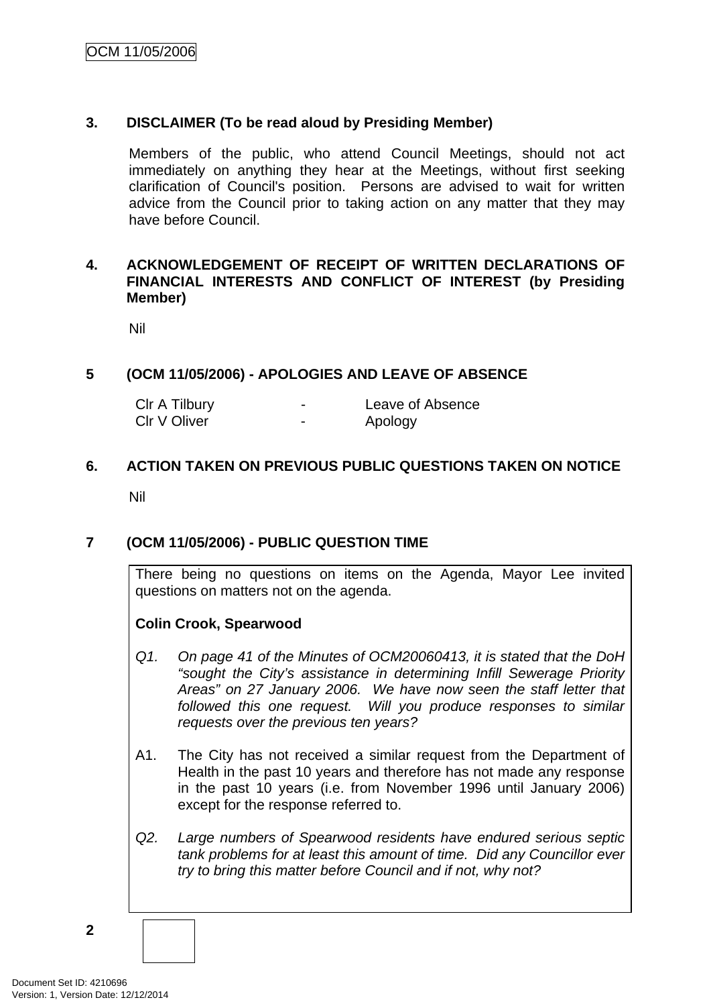### <span id="page-5-0"></span>**3. DISCLAIMER (To be read aloud by Presiding Member)**

Members of the public, who attend Council Meetings, should not act immediately on anything they hear at the Meetings, without first seeking clarification of Council's position. Persons are advised to wait for written advice from the Council prior to taking action on any matter that they may have before Council.

### **4. ACKNOWLEDGEMENT OF RECEIPT OF WRITTEN DECLARATIONS OF FINANCIAL INTERESTS AND CONFLICT OF INTEREST (by Presiding Member)**

Nil

### **5 (OCM 11/05/2006) - APOLOGIES AND LEAVE OF ABSENCE**

| CIr A Tilbury | -                        | Leave of Absence |
|---------------|--------------------------|------------------|
| CIr V Oliver  | $\overline{\phantom{0}}$ | Apology          |

### **6. ACTION TAKEN ON PREVIOUS PUBLIC QUESTIONS TAKEN ON NOTICE**

Nil

### **7 (OCM 11/05/2006) - PUBLIC QUESTION TIME**

There being no questions on items on the Agenda, Mayor Lee invited questions on matters not on the agenda.

### **Colin Crook, Spearwood**

- *Q1. On page 41 of the Minutes of OCM20060413, it is stated that the DoH "sought the City's assistance in determining Infill Sewerage Priority Areas" on 27 January 2006. We have now seen the staff letter that followed this one request. Will you produce responses to similar requests over the previous ten years?*
- A1. The City has not received a similar request from the Department of Health in the past 10 years and therefore has not made any response in the past 10 years (i.e. from November 1996 until January 2006) except for the response referred to.
- *Q2. Large numbers of Spearwood residents have endured serious septic tank problems for at least this amount of time. Did any Councillor ever try to bring this matter before Council and if not, why not?*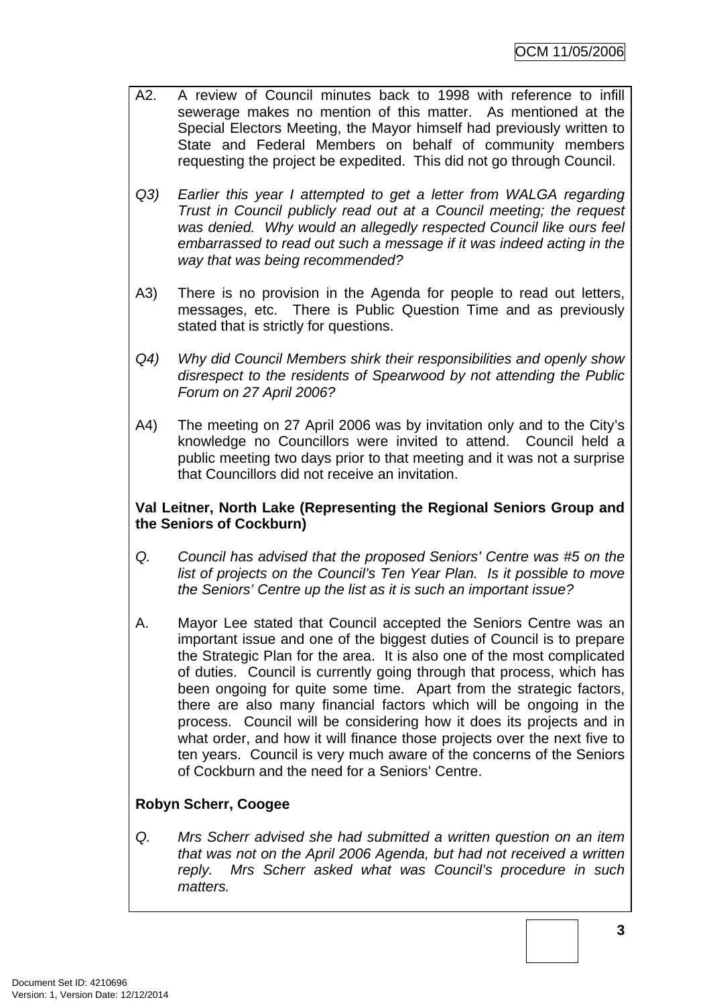- A2. A review of Council minutes back to 1998 with reference to infill sewerage makes no mention of this matter. As mentioned at the Special Electors Meeting, the Mayor himself had previously written to State and Federal Members on behalf of community members requesting the project be expedited. This did not go through Council.
- *Q3) Earlier this year I attempted to get a letter from WALGA regarding Trust in Council publicly read out at a Council meeting; the request was denied. Why would an allegedly respected Council like ours feel embarrassed to read out such a message if it was indeed acting in the way that was being recommended?*
- A3) There is no provision in the Agenda for people to read out letters, messages, etc. There is Public Question Time and as previously stated that is strictly for questions.
- *Q4) Why did Council Members shirk their responsibilities and openly show disrespect to the residents of Spearwood by not attending the Public Forum on 27 April 2006?*
- A4) The meeting on 27 April 2006 was by invitation only and to the City's knowledge no Councillors were invited to attend. Council held a public meeting two days prior to that meeting and it was not a surprise that Councillors did not receive an invitation.

### **Val Leitner, North Lake (Representing the Regional Seniors Group and the Seniors of Cockburn)**

- *Q. Council has advised that the proposed Seniors' Centre was #5 on the list of projects on the Council's Ten Year Plan. Is it possible to move the Seniors' Centre up the list as it is such an important issue?*
- A. Mayor Lee stated that Council accepted the Seniors Centre was an important issue and one of the biggest duties of Council is to prepare the Strategic Plan for the area. It is also one of the most complicated of duties. Council is currently going through that process, which has been ongoing for quite some time. Apart from the strategic factors, there are also many financial factors which will be ongoing in the process. Council will be considering how it does its projects and in what order, and how it will finance those projects over the next five to ten years. Council is very much aware of the concerns of the Seniors of Cockburn and the need for a Seniors' Centre.

### **Robyn Scherr, Coogee**

*Q. Mrs Scherr advised she had submitted a written question on an item that was not on the April 2006 Agenda, but had not received a written reply. Mrs Scherr asked what was Council's procedure in such matters.*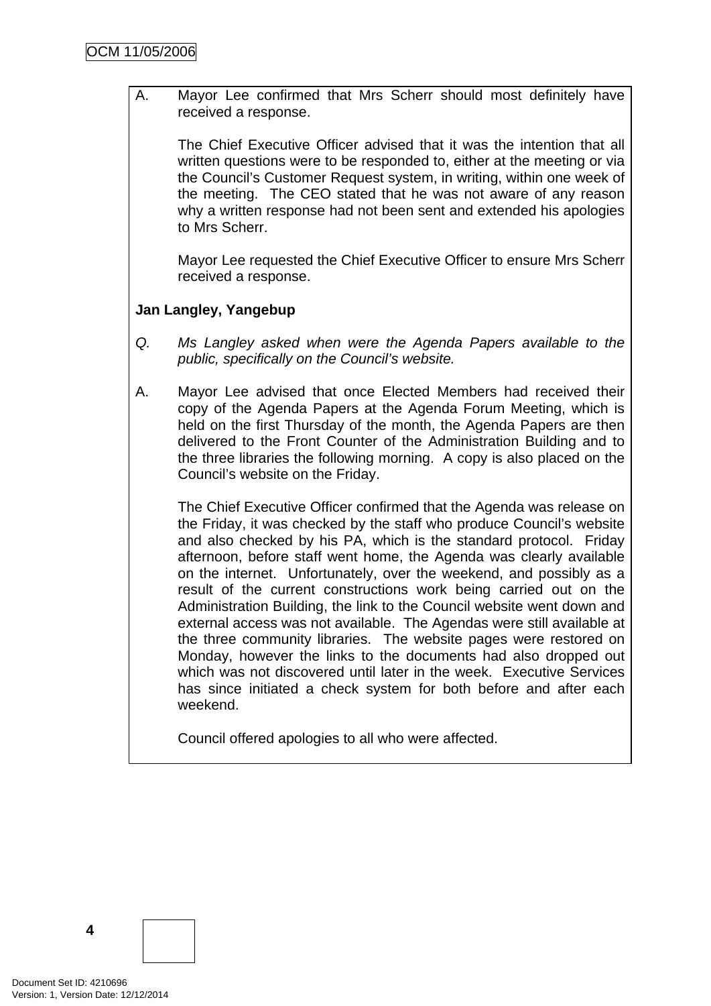A. Mayor Lee confirmed that Mrs Scherr should most definitely have received a response.

 The Chief Executive Officer advised that it was the intention that all written questions were to be responded to, either at the meeting or via the Council's Customer Request system, in writing, within one week of the meeting. The CEO stated that he was not aware of any reason why a written response had not been sent and extended his apologies to Mrs Scherr.

 Mayor Lee requested the Chief Executive Officer to ensure Mrs Scherr received a response.

### **Jan Langley, Yangebup**

- *Q. Ms Langley asked when were the Agenda Papers available to the public, specifically on the Council's website.*
- A. Mayor Lee advised that once Elected Members had received their copy of the Agenda Papers at the Agenda Forum Meeting, which is held on the first Thursday of the month, the Agenda Papers are then delivered to the Front Counter of the Administration Building and to the three libraries the following morning. A copy is also placed on the Council's website on the Friday.

 The Chief Executive Officer confirmed that the Agenda was release on the Friday, it was checked by the staff who produce Council's website and also checked by his PA, which is the standard protocol. Friday afternoon, before staff went home, the Agenda was clearly available on the internet. Unfortunately, over the weekend, and possibly as a result of the current constructions work being carried out on the Administration Building, the link to the Council website went down and external access was not available. The Agendas were still available at the three community libraries. The website pages were restored on Monday, however the links to the documents had also dropped out which was not discovered until later in the week. Executive Services has since initiated a check system for both before and after each weekend.

Council offered apologies to all who were affected.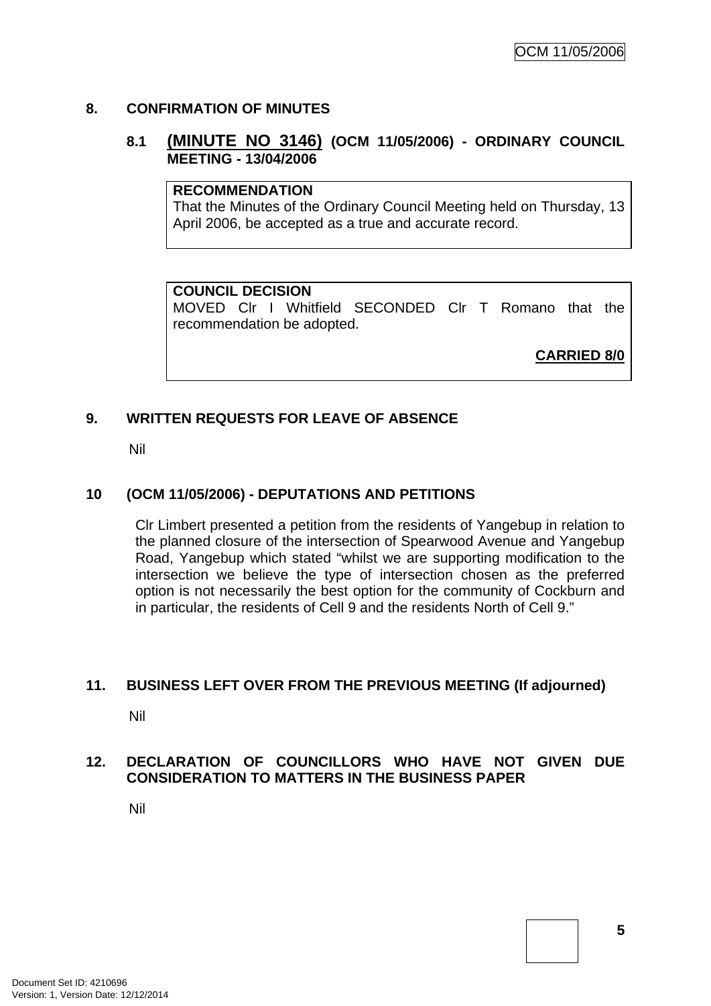### <span id="page-8-0"></span>**8. CONFIRMATION OF MINUTES**

### **8.1 (MINUTE NO 3146) (OCM 11/05/2006) - ORDINARY COUNCIL MEETING - 13/04/2006**

#### **RECOMMENDATION**

That the Minutes of the Ordinary Council Meeting held on Thursday, 13 April 2006, be accepted as a true and accurate record.

### **COUNCIL DECISION**

MOVED Clr I Whitfield SECONDED Clr T Romano that the recommendation be adopted.

**CARRIED 8/0**

### **9. WRITTEN REQUESTS FOR LEAVE OF ABSENCE**

Nil

### **10 (OCM 11/05/2006) - DEPUTATIONS AND PETITIONS**

Clr Limbert presented a petition from the residents of Yangebup in relation to the planned closure of the intersection of Spearwood Avenue and Yangebup Road, Yangebup which stated "whilst we are supporting modification to the intersection we believe the type of intersection chosen as the preferred option is not necessarily the best option for the community of Cockburn and in particular, the residents of Cell 9 and the residents North of Cell 9."

### **11. BUSINESS LEFT OVER FROM THE PREVIOUS MEETING (If adjourned)**

Nil

### **12. DECLARATION OF COUNCILLORS WHO HAVE NOT GIVEN DUE CONSIDERATION TO MATTERS IN THE BUSINESS PAPER**

Nil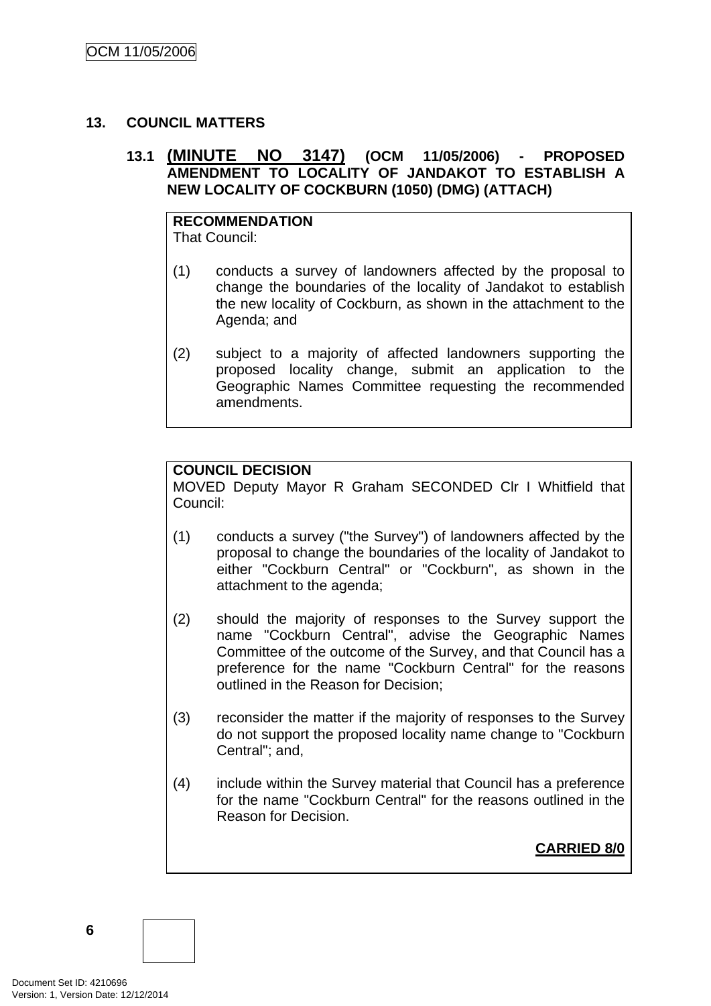### <span id="page-9-0"></span>**13. COUNCIL MATTERS**

### **13.1 (MINUTE NO 3147) (OCM 11/05/2006) - PROPOSED AMENDMENT TO LOCALITY OF JANDAKOT TO ESTABLISH A NEW LOCALITY OF COCKBURN (1050) (DMG) (ATTACH)**

## **RECOMMENDATION**

That Council:

- (1) conducts a survey of landowners affected by the proposal to change the boundaries of the locality of Jandakot to establish the new locality of Cockburn, as shown in the attachment to the Agenda; and
- (2) subject to a majority of affected landowners supporting the proposed locality change, submit an application to the Geographic Names Committee requesting the recommended amendments.

### **COUNCIL DECISION**

MOVED Deputy Mayor R Graham SECONDED Clr I Whitfield that Council:

- (1) conducts a survey ("the Survey") of landowners affected by the proposal to change the boundaries of the locality of Jandakot to either "Cockburn Central" or "Cockburn", as shown in the attachment to the agenda;
- (2) should the majority of responses to the Survey support the name "Cockburn Central", advise the Geographic Names Committee of the outcome of the Survey, and that Council has a preference for the name "Cockburn Central" for the reasons outlined in the Reason for Decision;
- (3) reconsider the matter if the majority of responses to the Survey do not support the proposed locality name change to "Cockburn Central"; and,
- (4) include within the Survey material that Council has a preference for the name "Cockburn Central" for the reasons outlined in the Reason for Decision.

**CARRIED 8/0**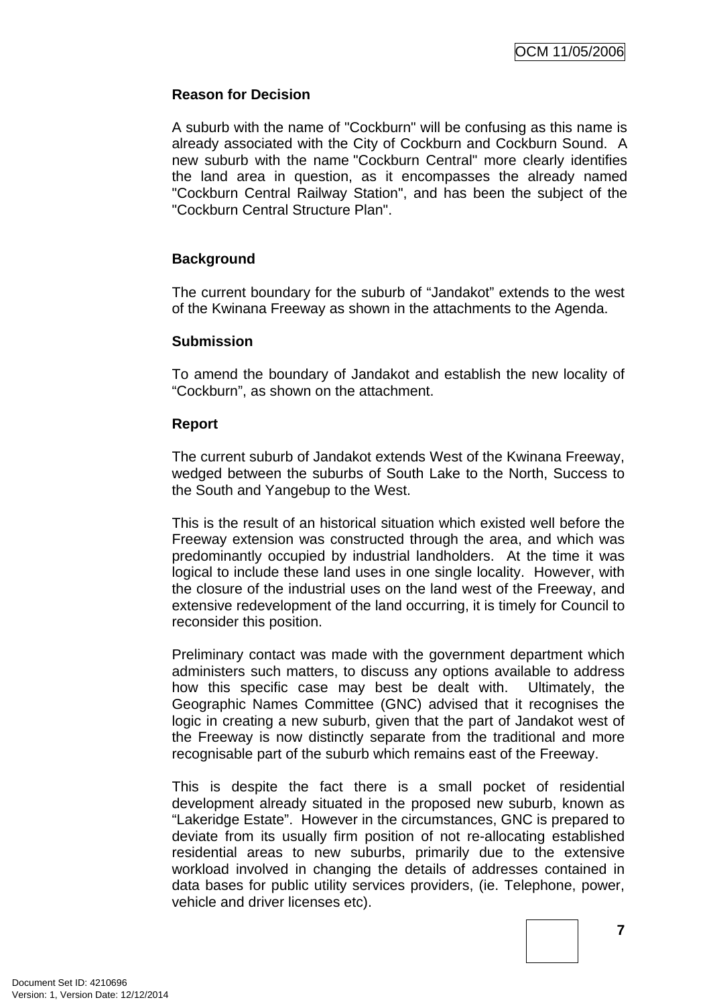### **Reason for Decision**

A suburb with the name of "Cockburn" will be confusing as this name is already associated with the City of Cockburn and Cockburn Sound. A new suburb with the name "Cockburn Central" more clearly identifies the land area in question, as it encompasses the already named "Cockburn Central Railway Station", and has been the subject of the "Cockburn Central Structure Plan".

### **Background**

The current boundary for the suburb of "Jandakot" extends to the west of the Kwinana Freeway as shown in the attachments to the Agenda.

### **Submission**

To amend the boundary of Jandakot and establish the new locality of "Cockburn", as shown on the attachment.

### **Report**

The current suburb of Jandakot extends West of the Kwinana Freeway, wedged between the suburbs of South Lake to the North, Success to the South and Yangebup to the West.

This is the result of an historical situation which existed well before the Freeway extension was constructed through the area, and which was predominantly occupied by industrial landholders. At the time it was logical to include these land uses in one single locality. However, with the closure of the industrial uses on the land west of the Freeway, and extensive redevelopment of the land occurring, it is timely for Council to reconsider this position.

Preliminary contact was made with the government department which administers such matters, to discuss any options available to address how this specific case may best be dealt with. Ultimately, the Geographic Names Committee (GNC) advised that it recognises the logic in creating a new suburb, given that the part of Jandakot west of the Freeway is now distinctly separate from the traditional and more recognisable part of the suburb which remains east of the Freeway.

This is despite the fact there is a small pocket of residential development already situated in the proposed new suburb, known as "Lakeridge Estate". However in the circumstances, GNC is prepared to deviate from its usually firm position of not re-allocating established residential areas to new suburbs, primarily due to the extensive workload involved in changing the details of addresses contained in data bases for public utility services providers, (ie. Telephone, power, vehicle and driver licenses etc).

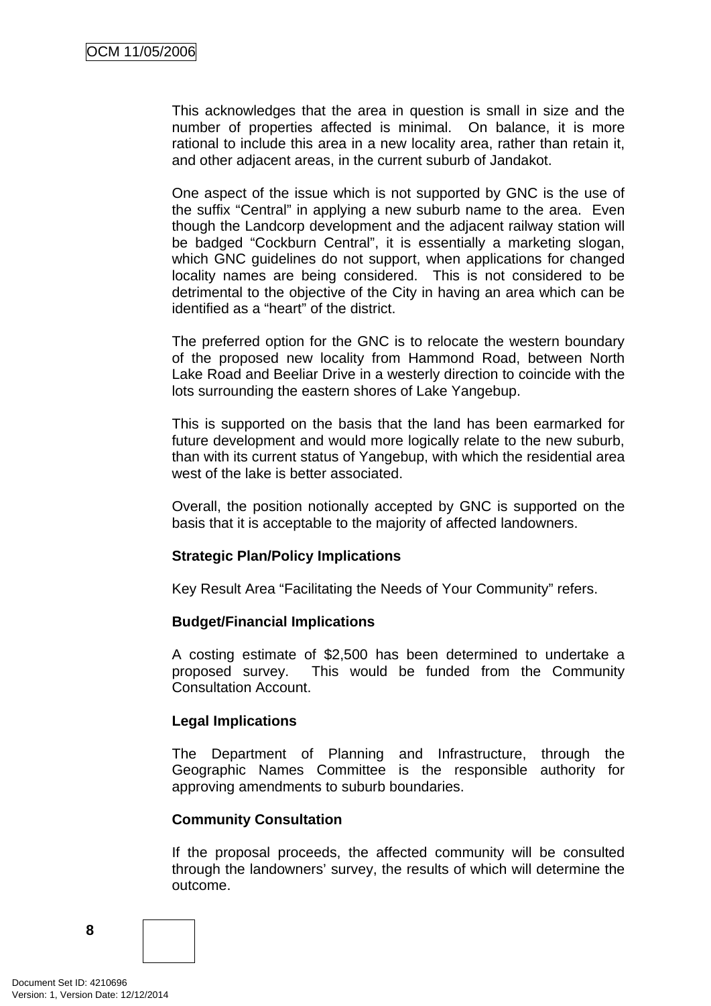This acknowledges that the area in question is small in size and the number of properties affected is minimal. On balance, it is more rational to include this area in a new locality area, rather than retain it, and other adjacent areas, in the current suburb of Jandakot.

One aspect of the issue which is not supported by GNC is the use of the suffix "Central" in applying a new suburb name to the area. Even though the Landcorp development and the adjacent railway station will be badged "Cockburn Central", it is essentially a marketing slogan, which GNC guidelines do not support, when applications for changed locality names are being considered. This is not considered to be detrimental to the objective of the City in having an area which can be identified as a "heart" of the district.

The preferred option for the GNC is to relocate the western boundary of the proposed new locality from Hammond Road, between North Lake Road and Beeliar Drive in a westerly direction to coincide with the lots surrounding the eastern shores of Lake Yangebup.

This is supported on the basis that the land has been earmarked for future development and would more logically relate to the new suburb, than with its current status of Yangebup, with which the residential area west of the lake is better associated.

Overall, the position notionally accepted by GNC is supported on the basis that it is acceptable to the majority of affected landowners.

### **Strategic Plan/Policy Implications**

Key Result Area "Facilitating the Needs of Your Community" refers.

#### **Budget/Financial Implications**

A costing estimate of \$2,500 has been determined to undertake a proposed survey. This would be funded from the Community Consultation Account.

### **Legal Implications**

The Department of Planning and Infrastructure, through the Geographic Names Committee is the responsible authority for approving amendments to suburb boundaries.

#### **Community Consultation**

If the proposal proceeds, the affected community will be consulted through the landowners' survey, the results of which will determine the outcome.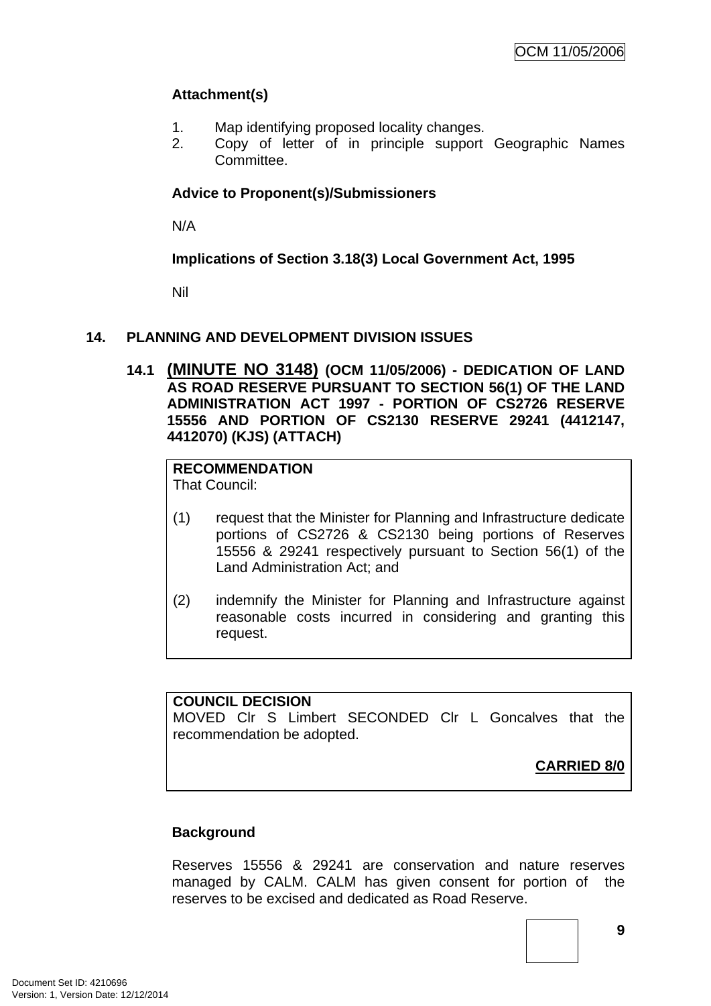### <span id="page-12-0"></span>**Attachment(s)**

- 1. Map identifying proposed locality changes.
- 2. Copy of letter of in principle support Geographic Names Committee.

### **Advice to Proponent(s)/Submissioners**

N/A

**Implications of Section 3.18(3) Local Government Act, 1995**

Nil

### **14. PLANNING AND DEVELOPMENT DIVISION ISSUES**

**14.1 (MINUTE NO 3148) (OCM 11/05/2006) - DEDICATION OF LAND AS ROAD RESERVE PURSUANT TO SECTION 56(1) OF THE LAND ADMINISTRATION ACT 1997 - PORTION OF CS2726 RESERVE 15556 AND PORTION OF CS2130 RESERVE 29241 (4412147, 4412070) (KJS) (ATTACH)** 

# **RECOMMENDATION**

That Council:

- (1) request that the Minister for Planning and Infrastructure dedicate portions of CS2726 & CS2130 being portions of Reserves 15556 & 29241 respectively pursuant to Section 56(1) of the Land Administration Act; and
- (2) indemnify the Minister for Planning and Infrastructure against reasonable costs incurred in considering and granting this request.

### **COUNCIL DECISION**

MOVED Clr S Limbert SECONDED Clr L Goncalves that the recommendation be adopted.

**CARRIED 8/0**

### **Background**

Reserves 15556 & 29241 are conservation and nature reserves managed by CALM. CALM has given consent for portion of the reserves to be excised and dedicated as Road Reserve.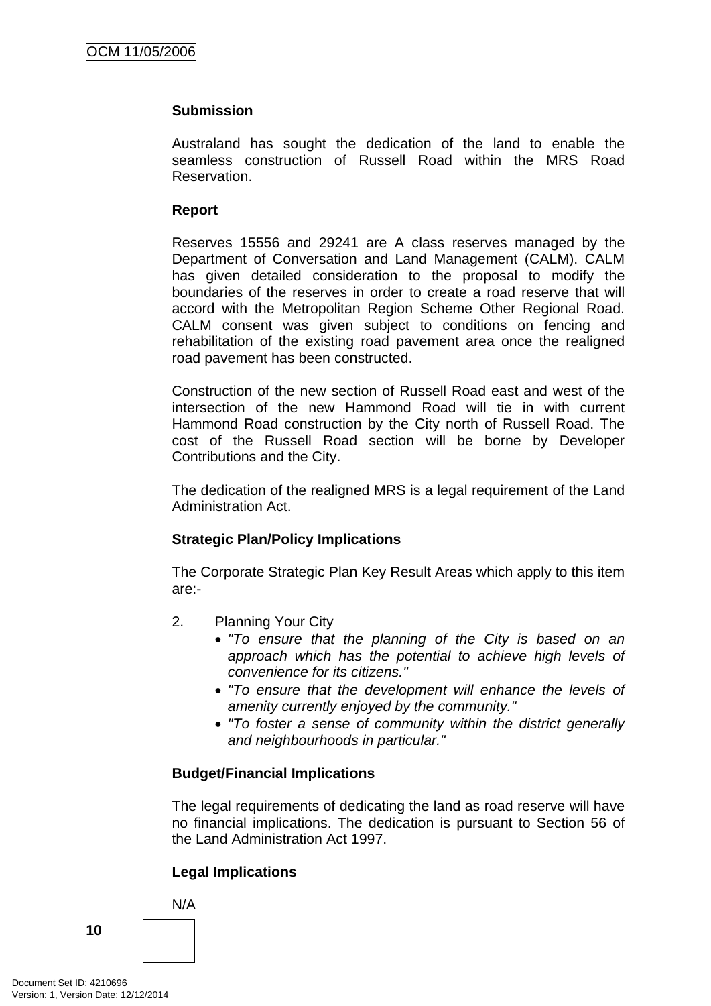#### **Submission**

Australand has sought the dedication of the land to enable the seamless construction of Russell Road within the MRS Road Reservation.

#### **Report**

Reserves 15556 and 29241 are A class reserves managed by the Department of Conversation and Land Management (CALM). CALM has given detailed consideration to the proposal to modify the boundaries of the reserves in order to create a road reserve that will accord with the Metropolitan Region Scheme Other Regional Road. CALM consent was given subject to conditions on fencing and rehabilitation of the existing road pavement area once the realigned road pavement has been constructed.

Construction of the new section of Russell Road east and west of the intersection of the new Hammond Road will tie in with current Hammond Road construction by the City north of Russell Road. The cost of the Russell Road section will be borne by Developer Contributions and the City.

The dedication of the realigned MRS is a legal requirement of the Land Administration Act.

### **Strategic Plan/Policy Implications**

The Corporate Strategic Plan Key Result Areas which apply to this item are:-

- 2. Planning Your City
	- *"To ensure that the planning of the City is based on an approach which has the potential to achieve high levels of convenience for its citizens."*
	- *"To ensure that the development will enhance the levels of amenity currently enjoyed by the community."*
	- *"To foster a sense of community within the district generally and neighbourhoods in particular."*

### **Budget/Financial Implications**

The legal requirements of dedicating the land as road reserve will have no financial implications. The dedication is pursuant to Section 56 of the Land Administration Act 1997.

### **Legal Implications**

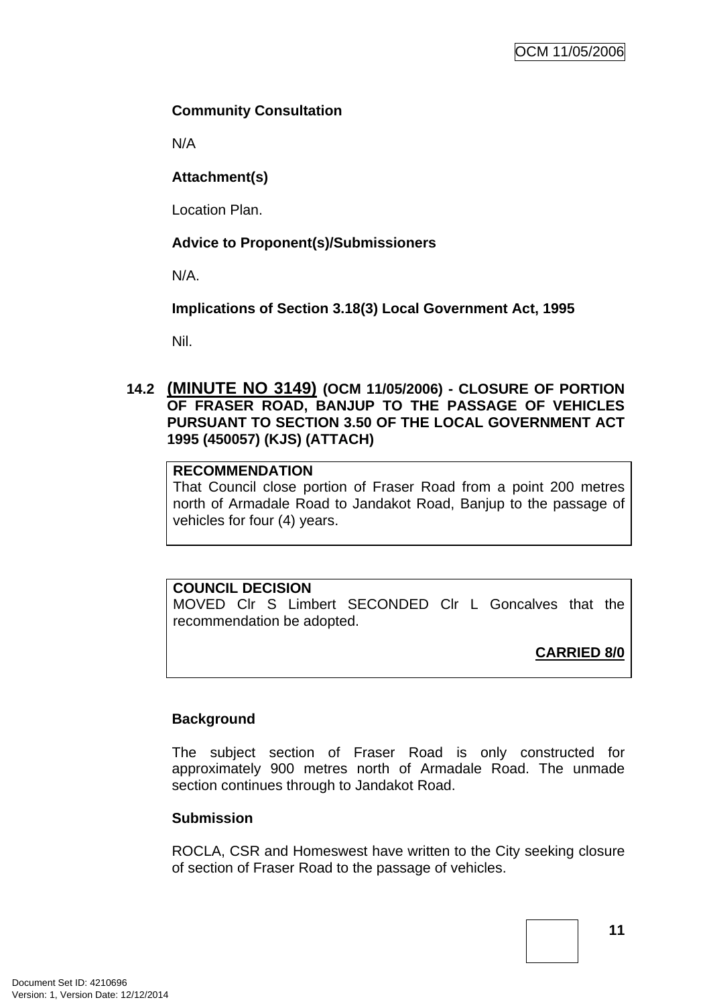### <span id="page-14-0"></span>**Community Consultation**

N/A

### **Attachment(s)**

Location Plan.

### **Advice to Proponent(s)/Submissioners**

N/A.

**Implications of Section 3.18(3) Local Government Act, 1995**

Nil.

### **14.2 (MINUTE NO 3149) (OCM 11/05/2006) - CLOSURE OF PORTION OF FRASER ROAD, BANJUP TO THE PASSAGE OF VEHICLES PURSUANT TO SECTION 3.50 OF THE LOCAL GOVERNMENT ACT 1995 (450057) (KJS) (ATTACH)**

### **RECOMMENDATION**

That Council close portion of Fraser Road from a point 200 metres north of Armadale Road to Jandakot Road, Banjup to the passage of vehicles for four (4) years.

### **COUNCIL DECISION** MOVED Clr S Limbert SECONDED Clr L Goncalves that the recommendation be adopted.

**CARRIED 8/0**

### **Background**

The subject section of Fraser Road is only constructed for approximately 900 metres north of Armadale Road. The unmade section continues through to Jandakot Road.

### **Submission**

ROCLA, CSR and Homeswest have written to the City seeking closure of section of Fraser Road to the passage of vehicles.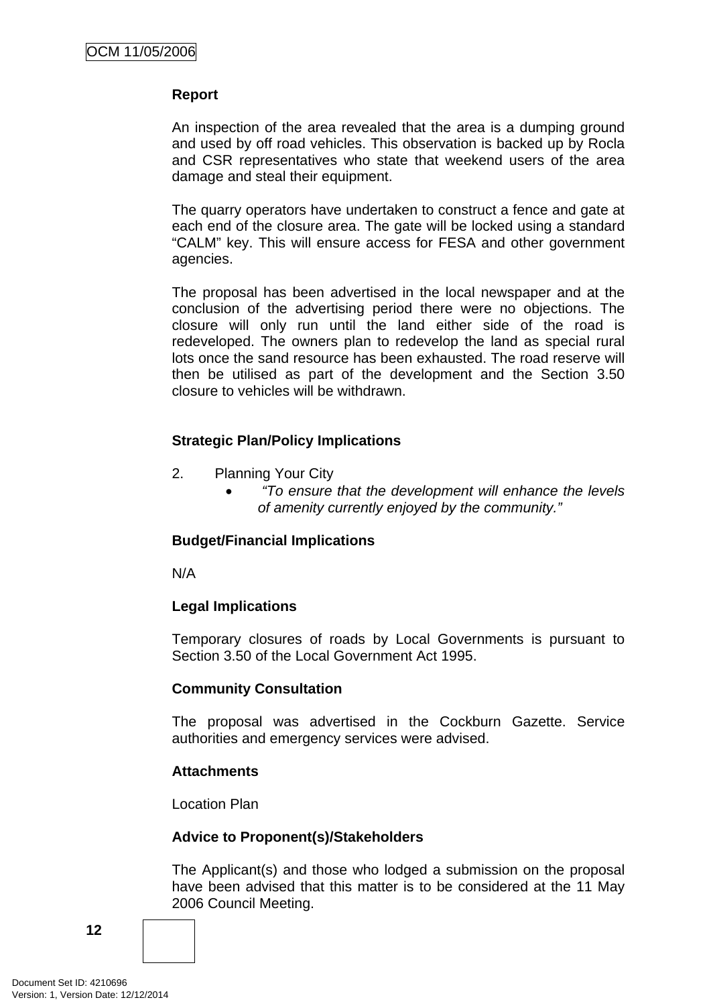### **Report**

An inspection of the area revealed that the area is a dumping ground and used by off road vehicles. This observation is backed up by Rocla and CSR representatives who state that weekend users of the area damage and steal their equipment.

The quarry operators have undertaken to construct a fence and gate at each end of the closure area. The gate will be locked using a standard "CALM" key. This will ensure access for FESA and other government agencies.

The proposal has been advertised in the local newspaper and at the conclusion of the advertising period there were no objections. The closure will only run until the land either side of the road is redeveloped. The owners plan to redevelop the land as special rural lots once the sand resource has been exhausted. The road reserve will then be utilised as part of the development and the Section 3.50 closure to vehicles will be withdrawn.

### **Strategic Plan/Policy Implications**

- 2. Planning Your City
	- *"To ensure that the development will enhance the levels of amenity currently enjoyed by the community."*

### **Budget/Financial Implications**

N/A

### **Legal Implications**

Temporary closures of roads by Local Governments is pursuant to Section 3.50 of the Local Government Act 1995.

### **Community Consultation**

The proposal was advertised in the Cockburn Gazette. Service authorities and emergency services were advised.

### **Attachments**

Location Plan

### **Advice to Proponent(s)/Stakeholders**

The Applicant(s) and those who lodged a submission on the proposal have been advised that this matter is to be considered at the 11 May 2006 Council Meeting.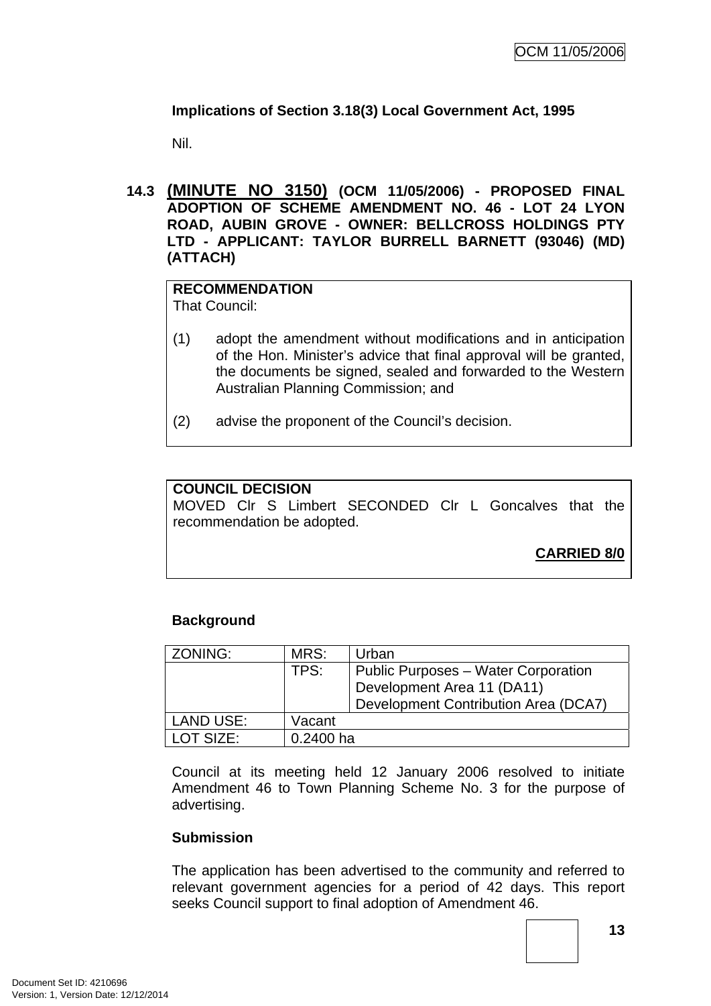### <span id="page-16-0"></span>**Implications of Section 3.18(3) Local Government Act, 1995**

Nil.

**14.3 (MINUTE NO 3150) (OCM 11/05/2006) - PROPOSED FINAL ADOPTION OF SCHEME AMENDMENT NO. 46 - LOT 24 LYON ROAD, AUBIN GROVE - OWNER: BELLCROSS HOLDINGS PTY LTD - APPLICANT: TAYLOR BURRELL BARNETT (93046) (MD) (ATTACH)** 

## **RECOMMENDATION**

That Council:

- (1) adopt the amendment without modifications and in anticipation of the Hon. Minister's advice that final approval will be granted, the documents be signed, sealed and forwarded to the Western Australian Planning Commission; and
- (2) advise the proponent of the Council's decision.

### **COUNCIL DECISION**

MOVED Clr S Limbert SECONDED Clr L Goncalves that the recommendation be adopted.

**CARRIED 8/0**

### **Background**

| ZONING:           | MRS:      | Urban                                |  |
|-------------------|-----------|--------------------------------------|--|
|                   | TPS:      | Public Purposes – Water Corporation  |  |
|                   |           | Development Area 11 (DA11)           |  |
|                   |           | Development Contribution Area (DCA7) |  |
| <b>LAND USE:</b>  | Vacant    |                                      |  |
| <b>I OT SIZE:</b> | 0.2400 ha |                                      |  |

Council at its meeting held 12 January 2006 resolved to initiate Amendment 46 to Town Planning Scheme No. 3 for the purpose of advertising.

### **Submission**

The application has been advertised to the community and referred to relevant government agencies for a period of 42 days. This report seeks Council support to final adoption of Amendment 46.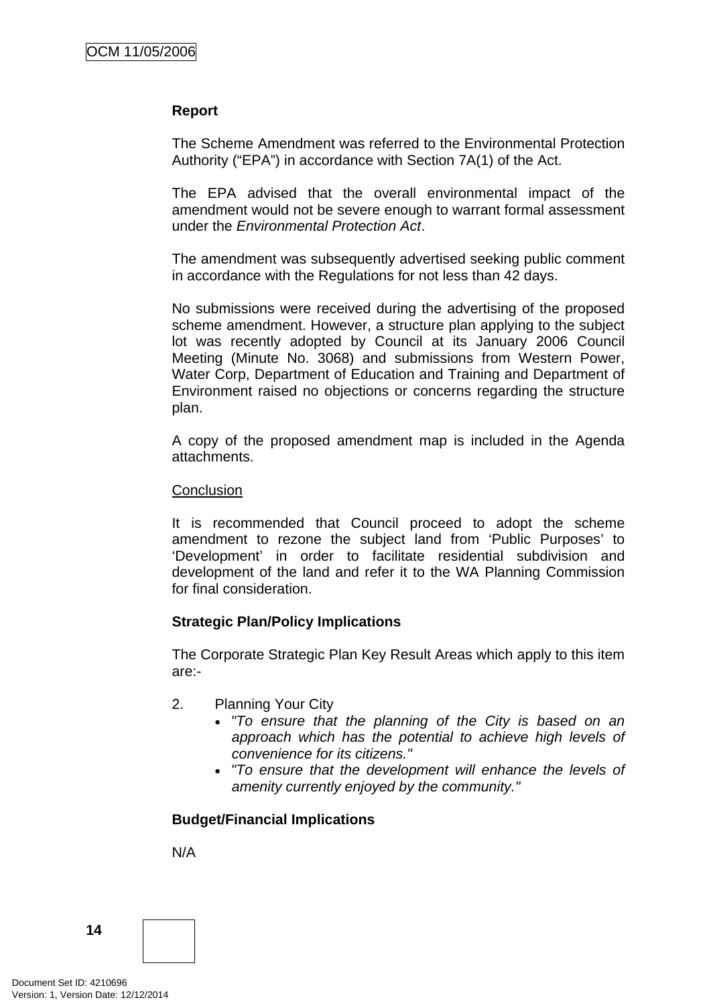### **Report**

The Scheme Amendment was referred to the Environmental Protection Authority ("EPA") in accordance with Section 7A(1) of the Act.

The EPA advised that the overall environmental impact of the amendment would not be severe enough to warrant formal assessment under the *Environmental Protection Act*.

The amendment was subsequently advertised seeking public comment in accordance with the Regulations for not less than 42 days.

No submissions were received during the advertising of the proposed scheme amendment. However, a structure plan applying to the subject lot was recently adopted by Council at its January 2006 Council Meeting (Minute No. 3068) and submissions from Western Power, Water Corp, Department of Education and Training and Department of Environment raised no objections or concerns regarding the structure plan.

A copy of the proposed amendment map is included in the Agenda attachments.

#### **Conclusion**

It is recommended that Council proceed to adopt the scheme amendment to rezone the subject land from 'Public Purposes' to 'Development' in order to facilitate residential subdivision and development of the land and refer it to the WA Planning Commission for final consideration.

#### **Strategic Plan/Policy Implications**

The Corporate Strategic Plan Key Result Areas which apply to this item are:-

- 2. Planning Your City
	- *"To ensure that the planning of the City is based on an approach which has the potential to achieve high levels of convenience for its citizens."*
	- *"To ensure that the development will enhance the levels of amenity currently enjoyed by the community."*

#### **Budget/Financial Implications**

N/A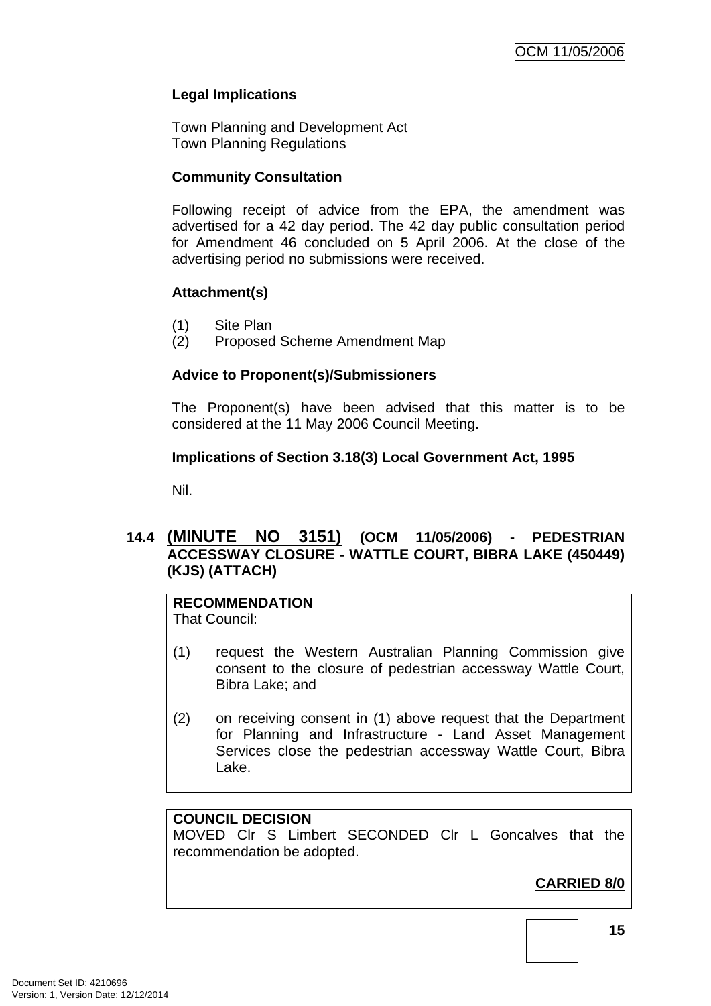### <span id="page-18-0"></span>**Legal Implications**

Town Planning and Development Act Town Planning Regulations

### **Community Consultation**

Following receipt of advice from the EPA, the amendment was advertised for a 42 day period. The 42 day public consultation period for Amendment 46 concluded on 5 April 2006. At the close of the advertising period no submissions were received.

### **Attachment(s)**

- (1) Site Plan
- (2) Proposed Scheme Amendment Map

### **Advice to Proponent(s)/Submissioners**

The Proponent(s) have been advised that this matter is to be considered at the 11 May 2006 Council Meeting.

### **Implications of Section 3.18(3) Local Government Act, 1995**

Nil.

### **14.4 (MINUTE NO 3151) (OCM 11/05/2006) - PEDESTRIAN ACCESSWAY CLOSURE - WATTLE COURT, BIBRA LAKE (450449) (KJS) (ATTACH)**

### **RECOMMENDATION**

That Council:

- (1) request the Western Australian Planning Commission give consent to the closure of pedestrian accessway Wattle Court, Bibra Lake; and
- (2) on receiving consent in (1) above request that the Department for Planning and Infrastructure - Land Asset Management Services close the pedestrian accessway Wattle Court, Bibra Lake.

### **COUNCIL DECISION**

MOVED Clr S Limbert SECONDED Clr L Goncalves that the recommendation be adopted.

### **CARRIED 8/0**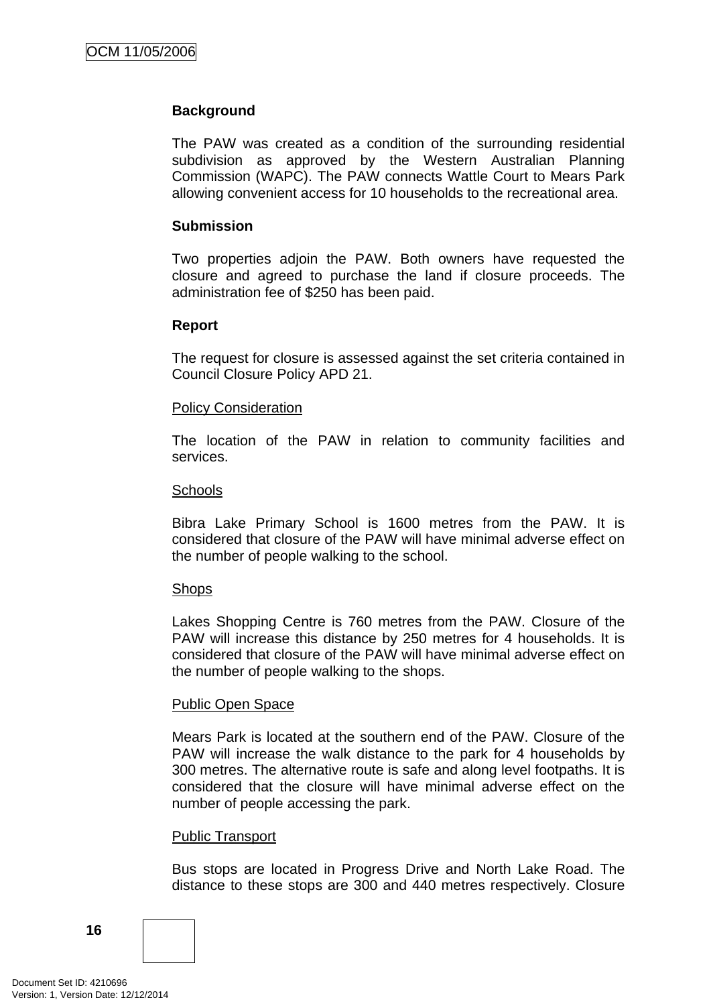### **Background**

The PAW was created as a condition of the surrounding residential subdivision as approved by the Western Australian Planning Commission (WAPC). The PAW connects Wattle Court to Mears Park allowing convenient access for 10 households to the recreational area.

#### **Submission**

Two properties adjoin the PAW. Both owners have requested the closure and agreed to purchase the land if closure proceeds. The administration fee of \$250 has been paid.

#### **Report**

The request for closure is assessed against the set criteria contained in Council Closure Policy APD 21.

#### **Policy Consideration**

The location of the PAW in relation to community facilities and services.

#### **Schools**

Bibra Lake Primary School is 1600 metres from the PAW. It is considered that closure of the PAW will have minimal adverse effect on the number of people walking to the school.

#### Shops

Lakes Shopping Centre is 760 metres from the PAW. Closure of the PAW will increase this distance by 250 metres for 4 households. It is considered that closure of the PAW will have minimal adverse effect on the number of people walking to the shops.

#### Public Open Space

Mears Park is located at the southern end of the PAW. Closure of the PAW will increase the walk distance to the park for 4 households by 300 metres. The alternative route is safe and along level footpaths. It is considered that the closure will have minimal adverse effect on the number of people accessing the park.

#### Public Transport

Bus stops are located in Progress Drive and North Lake Road. The distance to these stops are 300 and 440 metres respectively. Closure

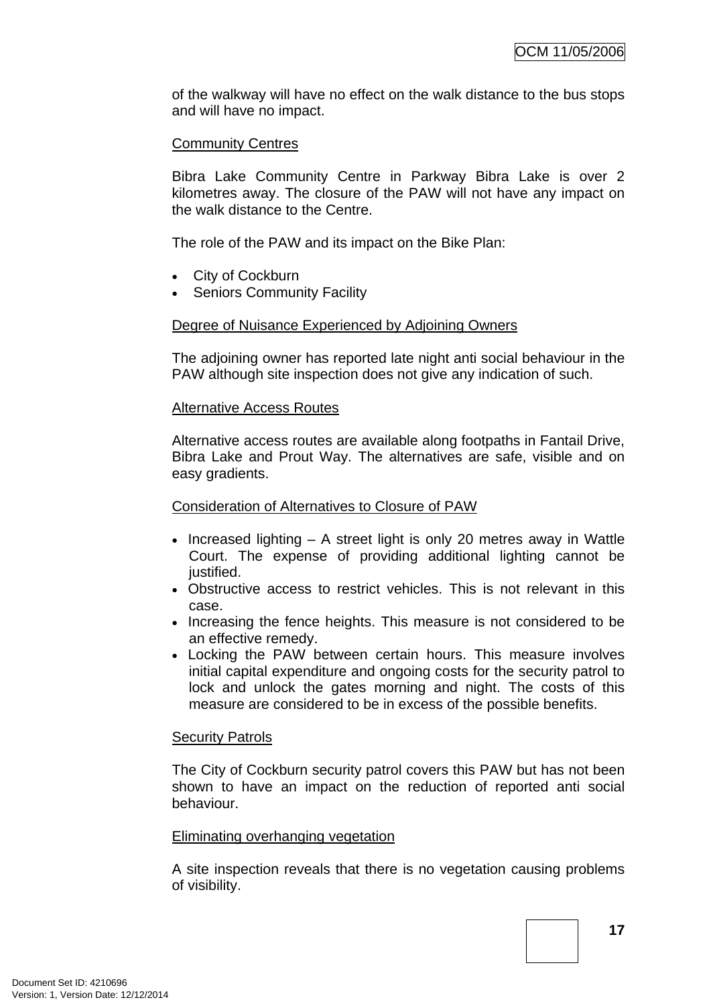of the walkway will have no effect on the walk distance to the bus stops and will have no impact.

### Community Centres

Bibra Lake Community Centre in Parkway Bibra Lake is over 2 kilometres away. The closure of the PAW will not have any impact on the walk distance to the Centre.

The role of the PAW and its impact on the Bike Plan:

- City of Cockburn
- Seniors Community Facility

#### Degree of Nuisance Experienced by Adjoining Owners

The adjoining owner has reported late night anti social behaviour in the PAW although site inspection does not give any indication of such.

#### Alternative Access Routes

Alternative access routes are available along footpaths in Fantail Drive, Bibra Lake and Prout Way. The alternatives are safe, visible and on easy gradients.

#### Consideration of Alternatives to Closure of PAW

- Increased lighting A street light is only 20 metres away in Wattle Court. The expense of providing additional lighting cannot be justified.
- Obstructive access to restrict vehicles. This is not relevant in this case.
- Increasing the fence heights. This measure is not considered to be an effective remedy.
- Locking the PAW between certain hours. This measure involves initial capital expenditure and ongoing costs for the security patrol to lock and unlock the gates morning and night. The costs of this measure are considered to be in excess of the possible benefits.

#### Security Patrols

The City of Cockburn security patrol covers this PAW but has not been shown to have an impact on the reduction of reported anti social behaviour.

#### Eliminating overhanging vegetation

A site inspection reveals that there is no vegetation causing problems of visibility.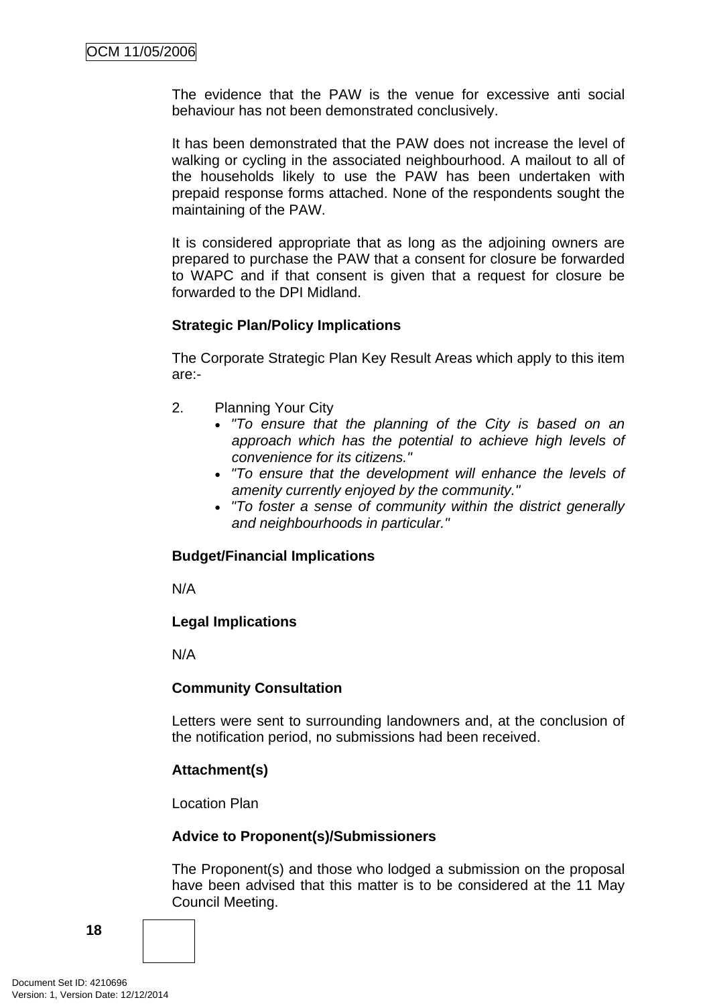The evidence that the PAW is the venue for excessive anti social behaviour has not been demonstrated conclusively.

It has been demonstrated that the PAW does not increase the level of walking or cycling in the associated neighbourhood. A mailout to all of the households likely to use the PAW has been undertaken with prepaid response forms attached. None of the respondents sought the maintaining of the PAW.

It is considered appropriate that as long as the adjoining owners are prepared to purchase the PAW that a consent for closure be forwarded to WAPC and if that consent is given that a request for closure be forwarded to the DPI Midland.

### **Strategic Plan/Policy Implications**

The Corporate Strategic Plan Key Result Areas which apply to this item are:-

- 2. Planning Your City
	- *"To ensure that the planning of the City is based on an approach which has the potential to achieve high levels of convenience for its citizens."*
	- *"To ensure that the development will enhance the levels of amenity currently enjoyed by the community."*
	- *"To foster a sense of community within the district generally and neighbourhoods in particular."*

#### **Budget/Financial Implications**

N/A

#### **Legal Implications**

N/A

#### **Community Consultation**

Letters were sent to surrounding landowners and, at the conclusion of the notification period, no submissions had been received.

### **Attachment(s)**

Location Plan

#### **Advice to Proponent(s)/Submissioners**

The Proponent(s) and those who lodged a submission on the proposal have been advised that this matter is to be considered at the 11 May Council Meeting.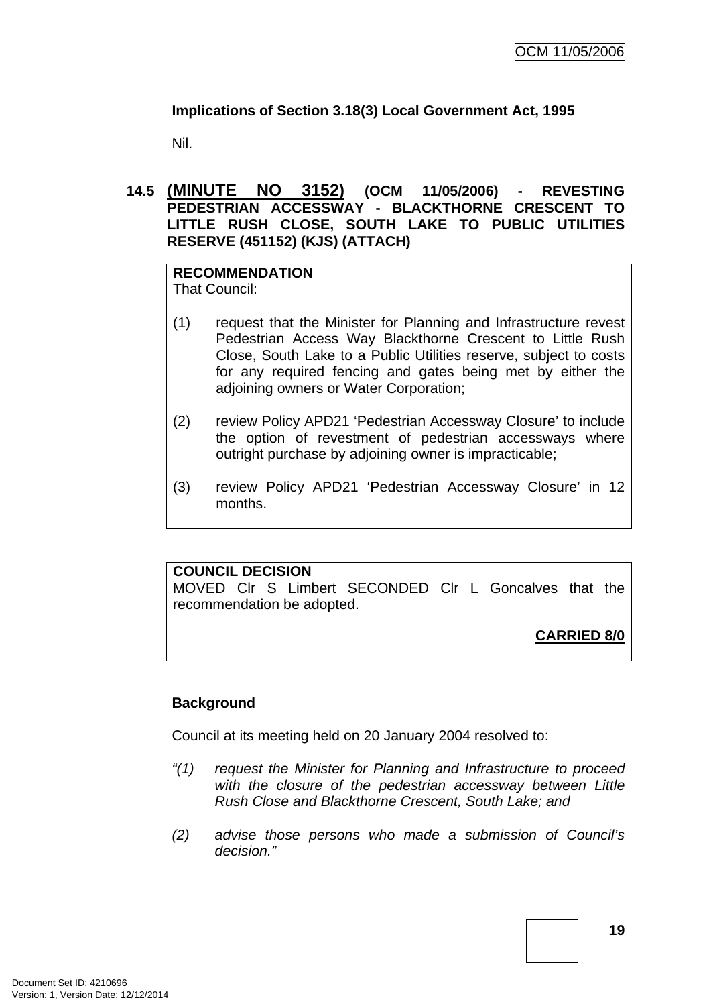### <span id="page-22-0"></span>**Implications of Section 3.18(3) Local Government Act, 1995**

Nil.

### **14.5 (MINUTE NO 3152) (OCM 11/05/2006) - REVESTING PEDESTRIAN ACCESSWAY - BLACKTHORNE CRESCENT TO LITTLE RUSH CLOSE, SOUTH LAKE TO PUBLIC UTILITIES RESERVE (451152) (KJS) (ATTACH)**

## **RECOMMENDATION**

That Council:

- (1) request that the Minister for Planning and Infrastructure revest Pedestrian Access Way Blackthorne Crescent to Little Rush Close, South Lake to a Public Utilities reserve, subject to costs for any required fencing and gates being met by either the adjoining owners or Water Corporation;
- (2) review Policy APD21 'Pedestrian Accessway Closure' to include the option of revestment of pedestrian accessways where outright purchase by adjoining owner is impracticable;
- (3) review Policy APD21 'Pedestrian Accessway Closure' in 12 months.

### **COUNCIL DECISION**

MOVED Clr S Limbert SECONDED Clr L Goncalves that the recommendation be adopted.

**CARRIED 8/0**

### **Background**

Council at its meeting held on 20 January 2004 resolved to:

- *"(1) request the Minister for Planning and Infrastructure to proceed with the closure of the pedestrian accessway between Little Rush Close and Blackthorne Crescent, South Lake; and*
- *(2) advise those persons who made a submission of Council's decision."*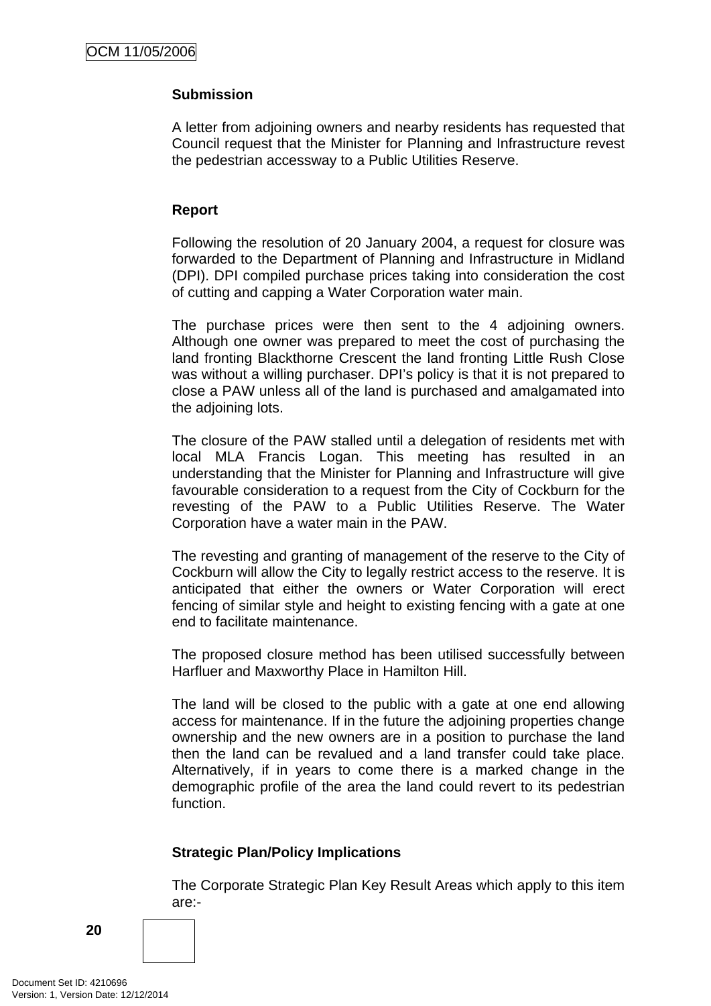### **Submission**

A letter from adjoining owners and nearby residents has requested that Council request that the Minister for Planning and Infrastructure revest the pedestrian accessway to a Public Utilities Reserve.

### **Report**

Following the resolution of 20 January 2004, a request for closure was forwarded to the Department of Planning and Infrastructure in Midland (DPI). DPI compiled purchase prices taking into consideration the cost of cutting and capping a Water Corporation water main.

The purchase prices were then sent to the 4 adjoining owners. Although one owner was prepared to meet the cost of purchasing the land fronting Blackthorne Crescent the land fronting Little Rush Close was without a willing purchaser. DPI's policy is that it is not prepared to close a PAW unless all of the land is purchased and amalgamated into the adjoining lots.

The closure of the PAW stalled until a delegation of residents met with local MLA Francis Logan. This meeting has resulted in an understanding that the Minister for Planning and Infrastructure will give favourable consideration to a request from the City of Cockburn for the revesting of the PAW to a Public Utilities Reserve. The Water Corporation have a water main in the PAW.

The revesting and granting of management of the reserve to the City of Cockburn will allow the City to legally restrict access to the reserve. It is anticipated that either the owners or Water Corporation will erect fencing of similar style and height to existing fencing with a gate at one end to facilitate maintenance.

The proposed closure method has been utilised successfully between Harfluer and Maxworthy Place in Hamilton Hill.

The land will be closed to the public with a gate at one end allowing access for maintenance. If in the future the adjoining properties change ownership and the new owners are in a position to purchase the land then the land can be revalued and a land transfer could take place. Alternatively, if in years to come there is a marked change in the demographic profile of the area the land could revert to its pedestrian function.

### **Strategic Plan/Policy Implications**

The Corporate Strategic Plan Key Result Areas which apply to this item are:-

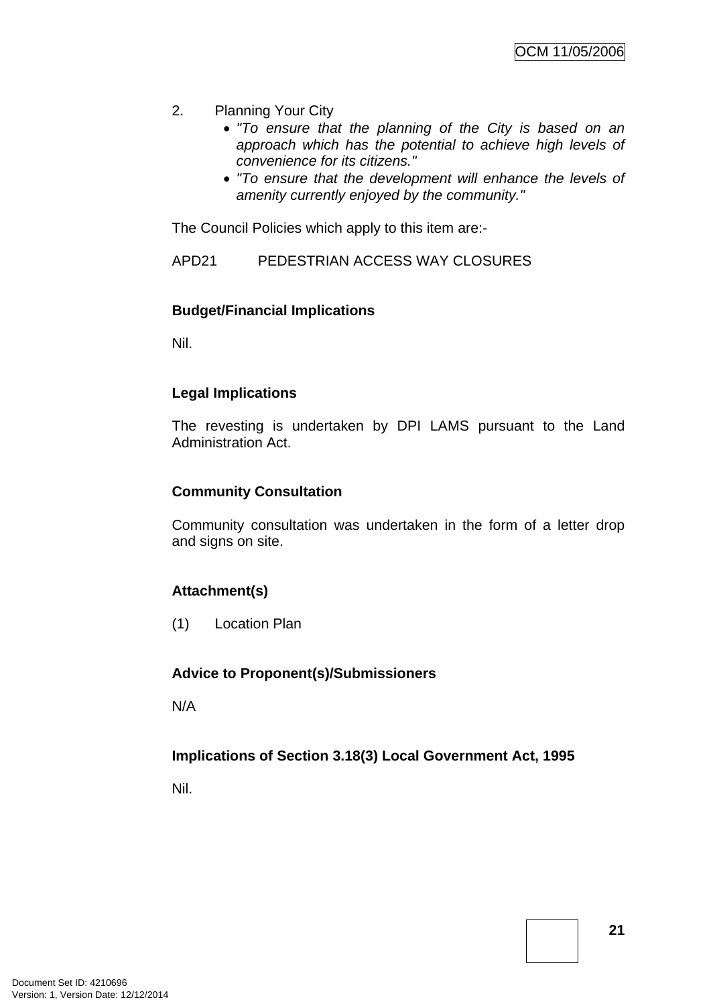- 2. Planning Your City
	- *"To ensure that the planning of the City is based on an approach which has the potential to achieve high levels of convenience for its citizens."*
	- *"To ensure that the development will enhance the levels of amenity currently enjoyed by the community."*

The Council Policies which apply to this item are:-

APD21 PEDESTRIAN ACCESS WAY CLOSURES

### **Budget/Financial Implications**

Nil.

### **Legal Implications**

The revesting is undertaken by DPI LAMS pursuant to the Land Administration Act.

### **Community Consultation**

Community consultation was undertaken in the form of a letter drop and signs on site.

### **Attachment(s)**

(1) Location Plan

### **Advice to Proponent(s)/Submissioners**

N/A

### **Implications of Section 3.18(3) Local Government Act, 1995**

Nil.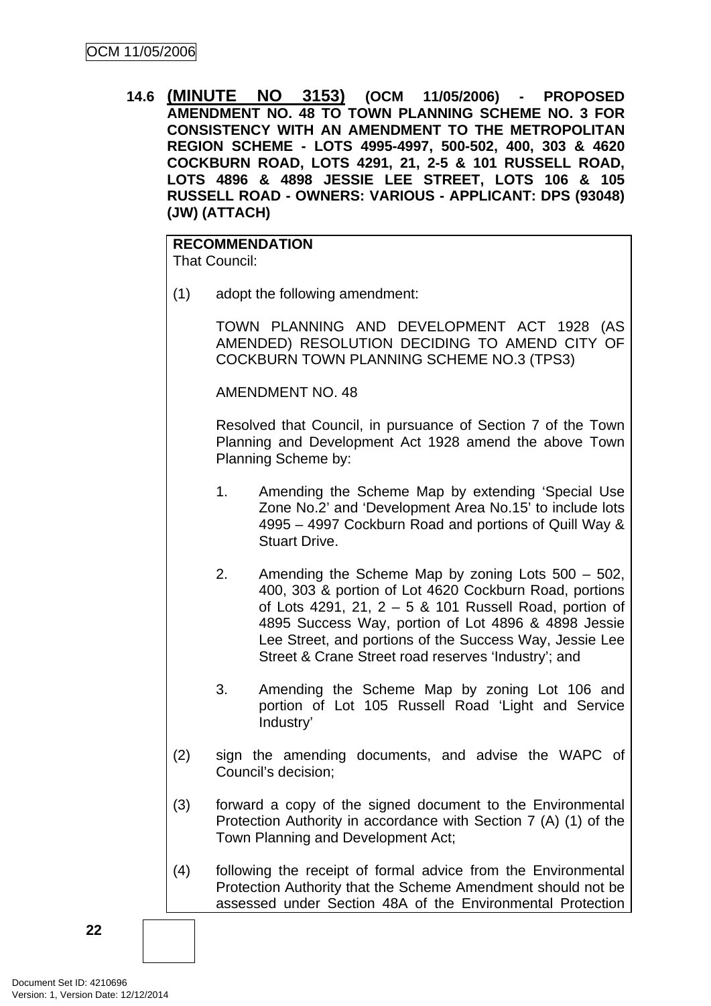<span id="page-25-0"></span>**14.6 (MINUTE NO 3153) (OCM 11/05/2006) - PROPOSED AMENDMENT NO. 48 TO TOWN PLANNING SCHEME NO. 3 FOR CONSISTENCY WITH AN AMENDMENT TO THE METROPOLITAN REGION SCHEME - LOTS 4995-4997, 500-502, 400, 303 & 4620 COCKBURN ROAD, LOTS 4291, 21, 2-5 & 101 RUSSELL ROAD, LOTS 4896 & 4898 JESSIE LEE STREET, LOTS 106 & 105 RUSSELL ROAD - OWNERS: VARIOUS - APPLICANT: DPS (93048) (JW) (ATTACH)** 

**RECOMMENDATION**  That Council:

(1) adopt the following amendment:

TOWN PLANNING AND DEVELOPMENT ACT 1928 (AS AMENDED) RESOLUTION DECIDING TO AMEND CITY OF COCKBURN TOWN PLANNING SCHEME NO.3 (TPS3)

AMENDMENT NO. 48

Resolved that Council, in pursuance of Section 7 of the Town Planning and Development Act 1928 amend the above Town Planning Scheme by:

- 1. Amending the Scheme Map by extending 'Special Use Zone No.2' and 'Development Area No.15' to include lots 4995 – 4997 Cockburn Road and portions of Quill Way & Stuart Drive.
- 2. Amending the Scheme Map by zoning Lots 500 502, 400, 303 & portion of Lot 4620 Cockburn Road, portions of Lots 4291, 21, 2 – 5 & 101 Russell Road, portion of 4895 Success Way, portion of Lot 4896 & 4898 Jessie Lee Street, and portions of the Success Way, Jessie Lee Street & Crane Street road reserves 'Industry'; and
- 3. Amending the Scheme Map by zoning Lot 106 and portion of Lot 105 Russell Road 'Light and Service Industry'
- (2) sign the amending documents, and advise the WAPC of Council's decision;
- (3) forward a copy of the signed document to the Environmental Protection Authority in accordance with Section 7 (A) (1) of the Town Planning and Development Act;
- (4) following the receipt of formal advice from the Environmental Protection Authority that the Scheme Amendment should not be assessed under Section 48A of the Environmental Protection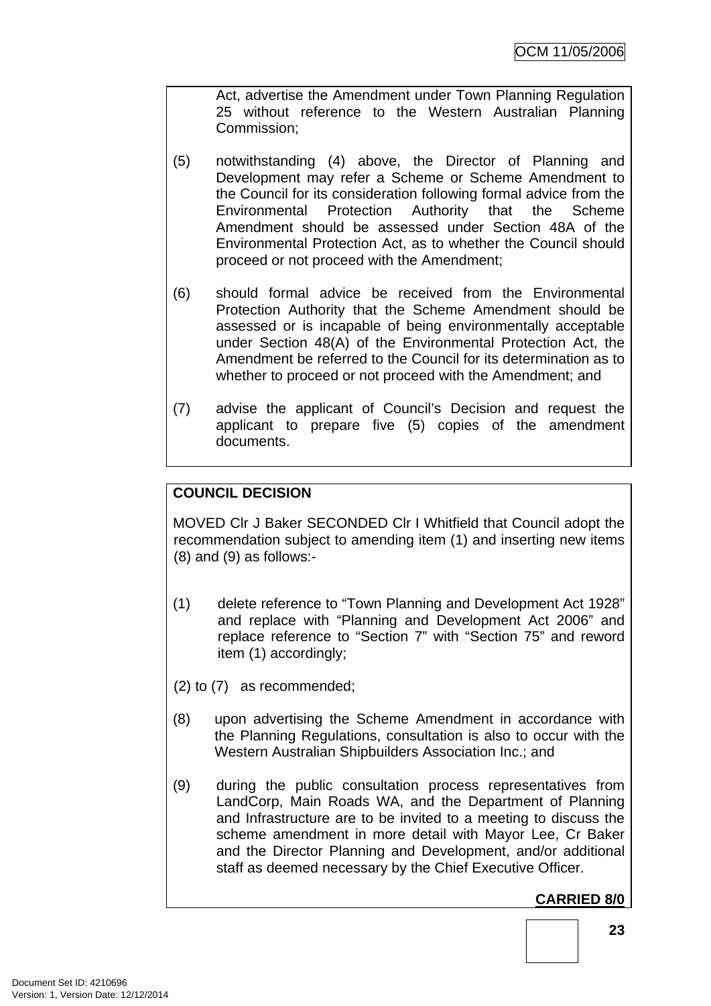Act, advertise the Amendment under Town Planning Regulation 25 without reference to the Western Australian Planning Commission;

- (5) notwithstanding (4) above, the Director of Planning and Development may refer a Scheme or Scheme Amendment to the Council for its consideration following formal advice from the Environmental Protection Authority that the Scheme Amendment should be assessed under Section 48A of the Environmental Protection Act, as to whether the Council should proceed or not proceed with the Amendment;
- (6) should formal advice be received from the Environmental Protection Authority that the Scheme Amendment should be assessed or is incapable of being environmentally acceptable under Section 48(A) of the Environmental Protection Act, the Amendment be referred to the Council for its determination as to whether to proceed or not proceed with the Amendment; and
- (7) advise the applicant of Council's Decision and request the applicant to prepare five (5) copies of the amendment documents.

### **COUNCIL DECISION**

MOVED Clr J Baker SECONDED Clr I Whitfield that Council adopt the recommendation subject to amending item (1) and inserting new items (8) and (9) as follows:-

- (1) delete reference to "Town Planning and Development Act 1928" and replace with "Planning and Development Act 2006" and replace reference to "Section 7" with "Section 75" and reword item (1) accordingly;
- (2) to (7) as recommended;
- (8) upon advertising the Scheme Amendment in accordance with the Planning Regulations, consultation is also to occur with the Western Australian Shipbuilders Association Inc.; and
- (9) during the public consultation process representatives from LandCorp, Main Roads WA, and the Department of Planning and Infrastructure are to be invited to a meeting to discuss the scheme amendment in more detail with Mayor Lee, Cr Baker and the Director Planning and Development, and/or additional staff as deemed necessary by the Chief Executive Officer.

### **CARRIED 8/0**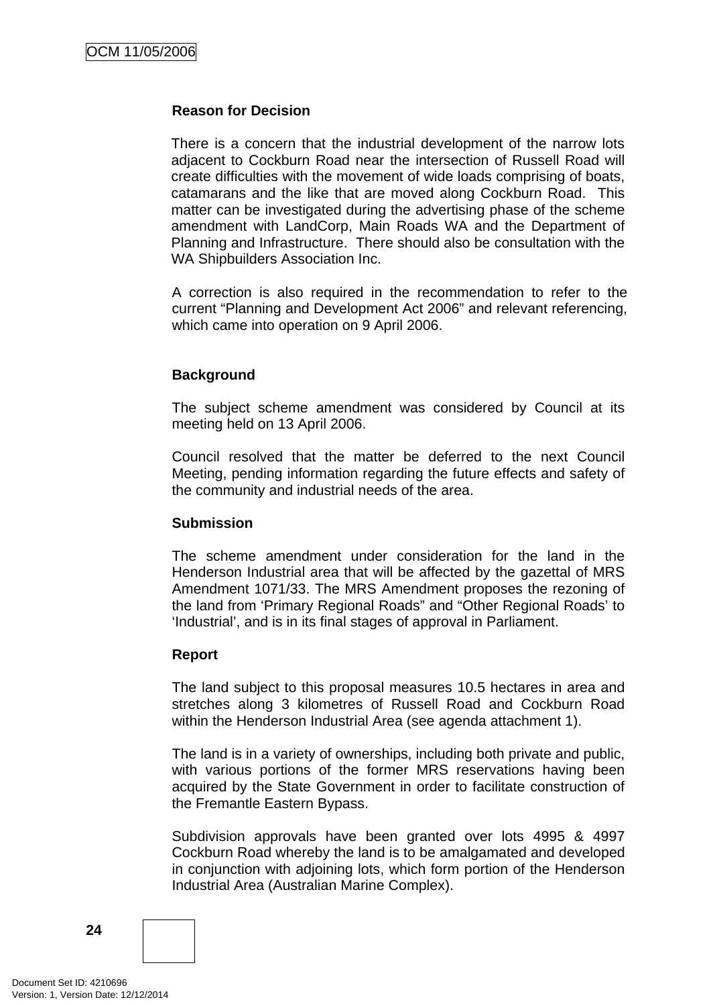#### **Reason for Decision**

There is a concern that the industrial development of the narrow lots adjacent to Cockburn Road near the intersection of Russell Road will create difficulties with the movement of wide loads comprising of boats, catamarans and the like that are moved along Cockburn Road. This matter can be investigated during the advertising phase of the scheme amendment with LandCorp, Main Roads WA and the Department of Planning and Infrastructure. There should also be consultation with the WA Shipbuilders Association Inc.

A correction is also required in the recommendation to refer to the current "Planning and Development Act 2006" and relevant referencing, which came into operation on 9 April 2006.

### **Background**

The subject scheme amendment was considered by Council at its meeting held on 13 April 2006.

Council resolved that the matter be deferred to the next Council Meeting, pending information regarding the future effects and safety of the community and industrial needs of the area.

#### **Submission**

The scheme amendment under consideration for the land in the Henderson Industrial area that will be affected by the gazettal of MRS Amendment 1071/33. The MRS Amendment proposes the rezoning of the land from 'Primary Regional Roads" and "Other Regional Roads' to 'Industrial', and is in its final stages of approval in Parliament.

#### **Report**

The land subject to this proposal measures 10.5 hectares in area and stretches along 3 kilometres of Russell Road and Cockburn Road within the Henderson Industrial Area (see agenda attachment 1).

The land is in a variety of ownerships, including both private and public, with various portions of the former MRS reservations having been acquired by the State Government in order to facilitate construction of the Fremantle Eastern Bypass.

Subdivision approvals have been granted over lots 4995 & 4997 Cockburn Road whereby the land is to be amalgamated and developed in conjunction with adjoining lots, which form portion of the Henderson Industrial Area (Australian Marine Complex).

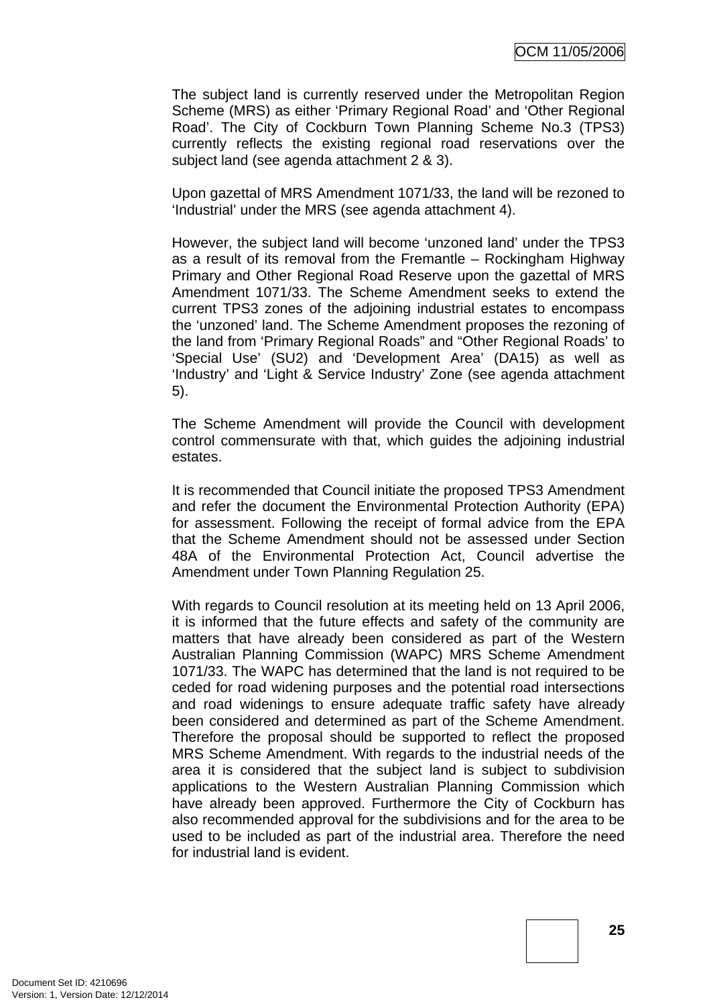The subject land is currently reserved under the Metropolitan Region Scheme (MRS) as either 'Primary Regional Road' and 'Other Regional Road'. The City of Cockburn Town Planning Scheme No.3 (TPS3) currently reflects the existing regional road reservations over the subject land (see agenda attachment 2 & 3).

Upon gazettal of MRS Amendment 1071/33, the land will be rezoned to 'Industrial' under the MRS (see agenda attachment 4).

However, the subject land will become 'unzoned land' under the TPS3 as a result of its removal from the Fremantle – Rockingham Highway Primary and Other Regional Road Reserve upon the gazettal of MRS Amendment 1071/33. The Scheme Amendment seeks to extend the current TPS3 zones of the adjoining industrial estates to encompass the 'unzoned' land. The Scheme Amendment proposes the rezoning of the land from 'Primary Regional Roads" and "Other Regional Roads' to 'Special Use' (SU2) and 'Development Area' (DA15) as well as 'Industry' and 'Light & Service Industry' Zone (see agenda attachment 5).

The Scheme Amendment will provide the Council with development control commensurate with that, which guides the adjoining industrial estates.

It is recommended that Council initiate the proposed TPS3 Amendment and refer the document the Environmental Protection Authority (EPA) for assessment. Following the receipt of formal advice from the EPA that the Scheme Amendment should not be assessed under Section 48A of the Environmental Protection Act, Council advertise the Amendment under Town Planning Regulation 25.

With regards to Council resolution at its meeting held on 13 April 2006, it is informed that the future effects and safety of the community are matters that have already been considered as part of the Western Australian Planning Commission (WAPC) MRS Scheme Amendment 1071/33. The WAPC has determined that the land is not required to be ceded for road widening purposes and the potential road intersections and road widenings to ensure adequate traffic safety have already been considered and determined as part of the Scheme Amendment. Therefore the proposal should be supported to reflect the proposed MRS Scheme Amendment. With regards to the industrial needs of the area it is considered that the subject land is subject to subdivision applications to the Western Australian Planning Commission which have already been approved. Furthermore the City of Cockburn has also recommended approval for the subdivisions and for the area to be used to be included as part of the industrial area. Therefore the need for industrial land is evident.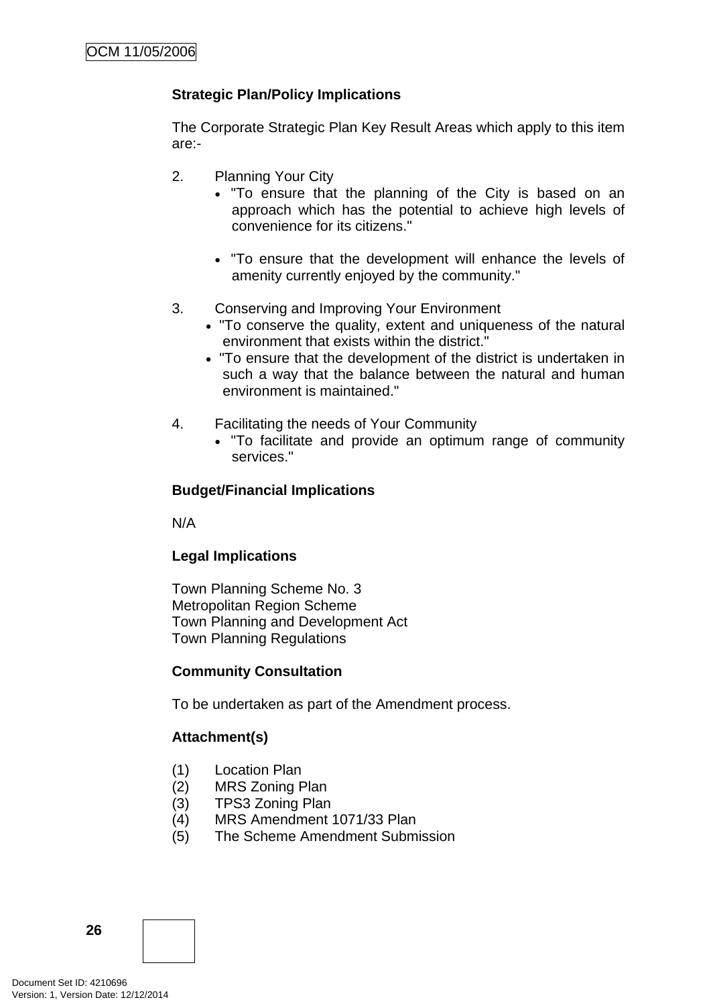### **Strategic Plan/Policy Implications**

The Corporate Strategic Plan Key Result Areas which apply to this item are:-

- 2. Planning Your City
	- "To ensure that the planning of the City is based on an approach which has the potential to achieve high levels of convenience for its citizens."
	- "To ensure that the development will enhance the levels of amenity currently enjoyed by the community."
- 3. Conserving and Improving Your Environment
	- "To conserve the quality, extent and uniqueness of the natural environment that exists within the district."
	- "To ensure that the development of the district is undertaken in such a way that the balance between the natural and human environment is maintained."
- 4. Facilitating the needs of Your Community
	- "To facilitate and provide an optimum range of community services."

### **Budget/Financial Implications**

N/A

### **Legal Implications**

Town Planning Scheme No. 3 Metropolitan Region Scheme Town Planning and Development Act Town Planning Regulations

### **Community Consultation**

To be undertaken as part of the Amendment process.

### **Attachment(s)**

- (1) Location Plan
- (2) MRS Zoning Plan
- (3) TPS3 Zoning Plan
- (4) MRS Amendment 1071/33 Plan
- (5) The Scheme Amendment Submission

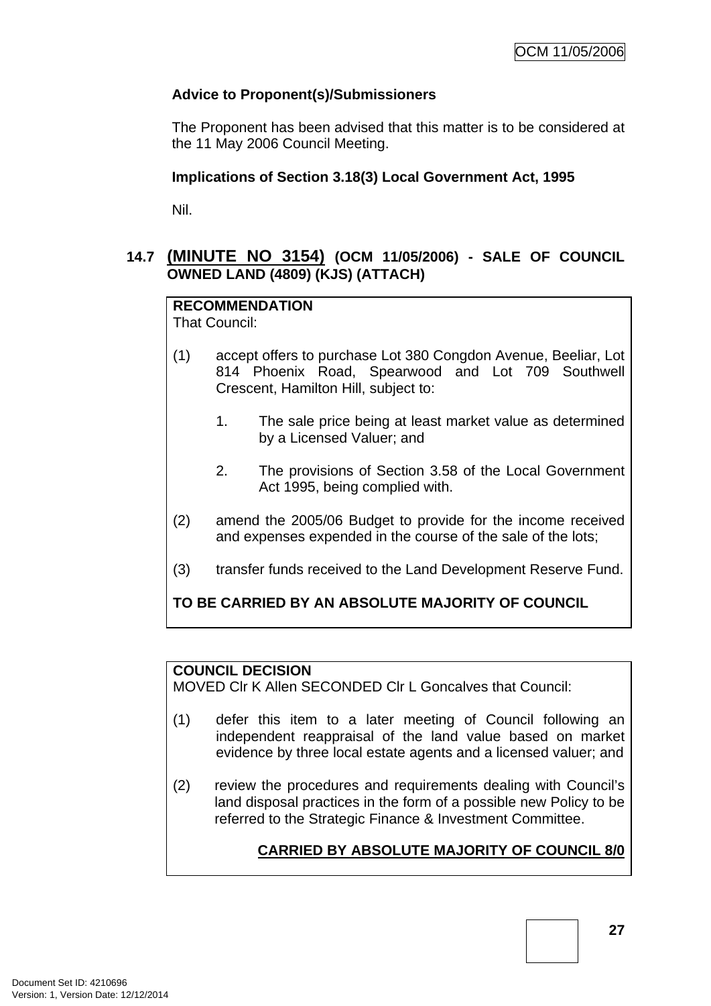### <span id="page-30-0"></span>**Advice to Proponent(s)/Submissioners**

The Proponent has been advised that this matter is to be considered at the 11 May 2006 Council Meeting.

### **Implications of Section 3.18(3) Local Government Act, 1995**

Nil.

### **14.7 (MINUTE NO 3154) (OCM 11/05/2006) - SALE OF COUNCIL OWNED LAND (4809) (KJS) (ATTACH)**

### **RECOMMENDATION**

That Council:

- (1) accept offers to purchase Lot 380 Congdon Avenue, Beeliar, Lot 814 Phoenix Road, Spearwood and Lot 709 Southwell Crescent, Hamilton Hill, subject to:
	- 1. The sale price being at least market value as determined by a Licensed Valuer; and
	- 2. The provisions of Section 3.58 of the Local Government Act 1995, being complied with.
- (2) amend the 2005/06 Budget to provide for the income received and expenses expended in the course of the sale of the lots;
- (3) transfer funds received to the Land Development Reserve Fund.

**TO BE CARRIED BY AN ABSOLUTE MAJORITY OF COUNCIL**

### **COUNCIL DECISION**

MOVED Clr K Allen SECONDED Clr L Goncalves that Council:

- (1) defer this item to a later meeting of Council following an independent reappraisal of the land value based on market evidence by three local estate agents and a licensed valuer; and
- (2) review the procedures and requirements dealing with Council's land disposal practices in the form of a possible new Policy to be referred to the Strategic Finance & Investment Committee.

### **CARRIED BY ABSOLUTE MAJORITY OF COUNCIL 8/0**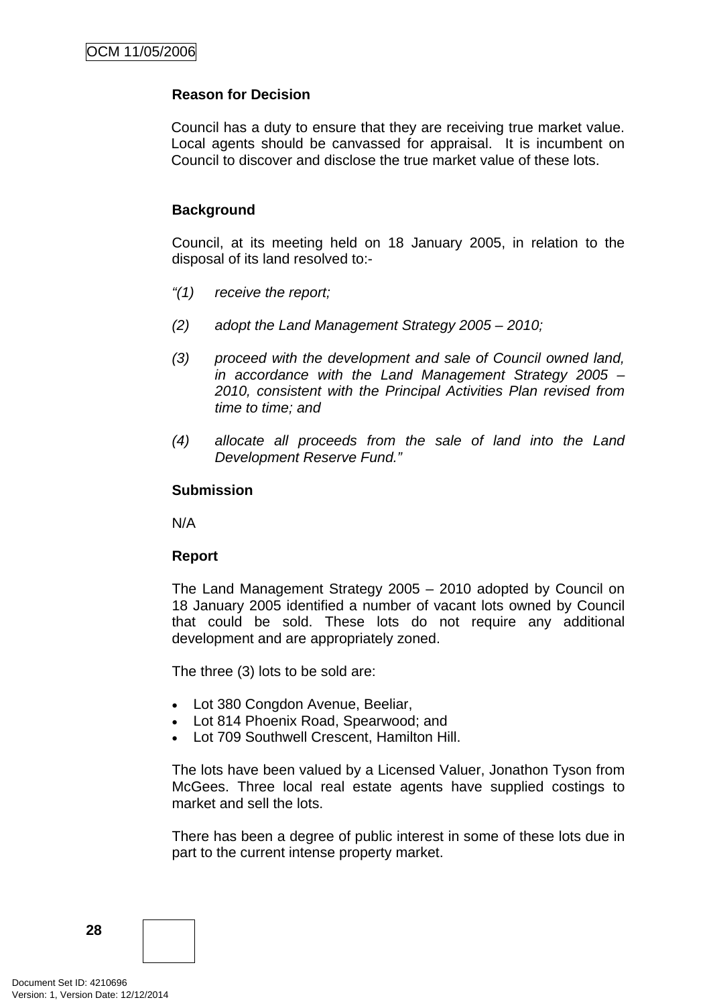### **Reason for Decision**

Council has a duty to ensure that they are receiving true market value. Local agents should be canvassed for appraisal. It is incumbent on Council to discover and disclose the true market value of these lots.

### **Background**

Council, at its meeting held on 18 January 2005, in relation to the disposal of its land resolved to:-

- *"(1) receive the report;*
- *(2) adopt the Land Management Strategy 2005 2010;*
- *(3) proceed with the development and sale of Council owned land, in accordance with the Land Management Strategy 2005 – 2010, consistent with the Principal Activities Plan revised from time to time; and*
- *(4) allocate all proceeds from the sale of land into the Land Development Reserve Fund."*

#### **Submission**

N/A

### **Report**

The Land Management Strategy 2005 – 2010 adopted by Council on 18 January 2005 identified a number of vacant lots owned by Council that could be sold. These lots do not require any additional development and are appropriately zoned.

The three (3) lots to be sold are:

- Lot 380 Congdon Avenue, Beeliar,
- Lot 814 Phoenix Road, Spearwood; and
- Lot 709 Southwell Crescent, Hamilton Hill.

The lots have been valued by a Licensed Valuer, Jonathon Tyson from McGees. Three local real estate agents have supplied costings to market and sell the lots.

There has been a degree of public interest in some of these lots due in part to the current intense property market.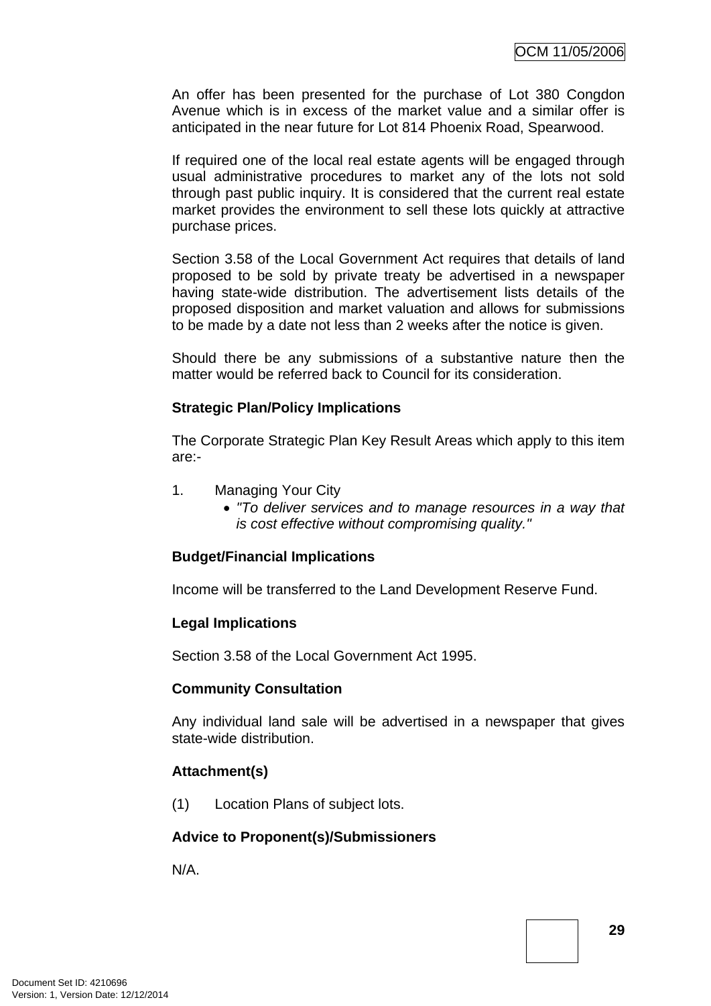An offer has been presented for the purchase of Lot 380 Congdon Avenue which is in excess of the market value and a similar offer is anticipated in the near future for Lot 814 Phoenix Road, Spearwood.

If required one of the local real estate agents will be engaged through usual administrative procedures to market any of the lots not sold through past public inquiry. It is considered that the current real estate market provides the environment to sell these lots quickly at attractive purchase prices.

Section 3.58 of the Local Government Act requires that details of land proposed to be sold by private treaty be advertised in a newspaper having state-wide distribution. The advertisement lists details of the proposed disposition and market valuation and allows for submissions to be made by a date not less than 2 weeks after the notice is given.

Should there be any submissions of a substantive nature then the matter would be referred back to Council for its consideration.

### **Strategic Plan/Policy Implications**

The Corporate Strategic Plan Key Result Areas which apply to this item are:-

- 1. Managing Your City
	- *"To deliver services and to manage resources in a way that is cost effective without compromising quality."*

### **Budget/Financial Implications**

Income will be transferred to the Land Development Reserve Fund.

### **Legal Implications**

Section 3.58 of the Local Government Act 1995.

### **Community Consultation**

Any individual land sale will be advertised in a newspaper that gives state-wide distribution.

### **Attachment(s)**

(1) Location Plans of subject lots.

### **Advice to Proponent(s)/Submissioners**

N/A.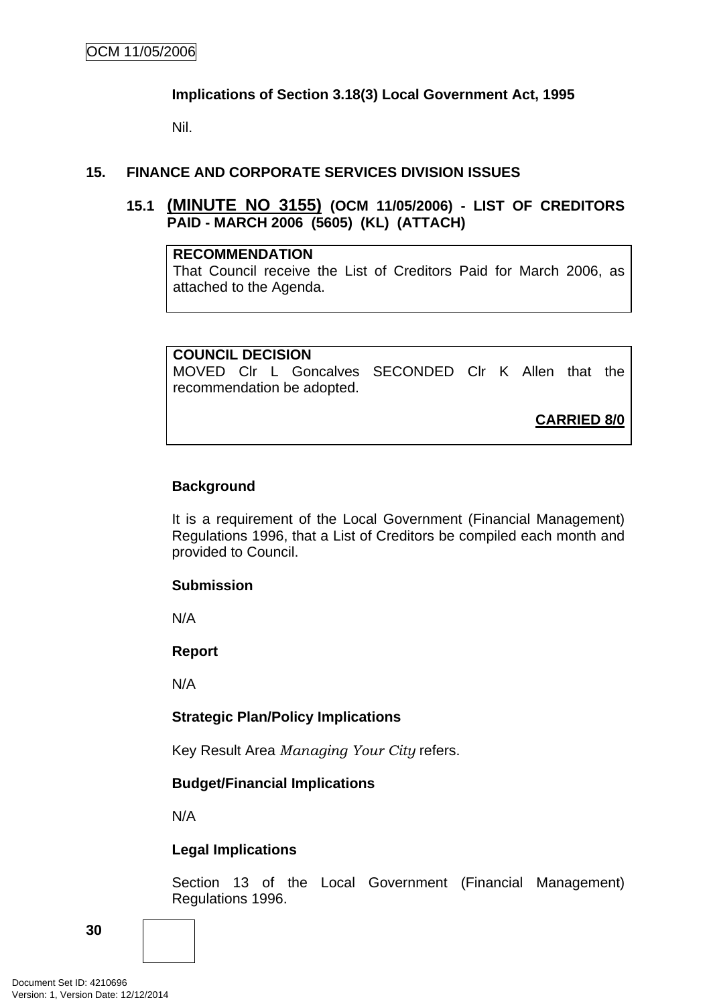### **Implications of Section 3.18(3) Local Government Act, 1995**

Nil.

### <span id="page-33-0"></span>**15. FINANCE AND CORPORATE SERVICES DIVISION ISSUES**

### **15.1 (MINUTE NO 3155) (OCM 11/05/2006) - LIST OF CREDITORS PAID - MARCH 2006 (5605) (KL) (ATTACH)**

### **RECOMMENDATION**

That Council receive the List of Creditors Paid for March 2006, as attached to the Agenda.

### **COUNCIL DECISION**

MOVED Clr L Goncalves SECONDED Clr K Allen that the recommendation be adopted.

**CARRIED 8/0**

### **Background**

It is a requirement of the Local Government (Financial Management) Regulations 1996, that a List of Creditors be compiled each month and provided to Council.

### **Submission**

N/A

**Report**

N/A

### **Strategic Plan/Policy Implications**

Key Result Area *Managing Your City* refers.

### **Budget/Financial Implications**

N/A

### **Legal Implications**

Section 13 of the Local Government (Financial Management) Regulations 1996.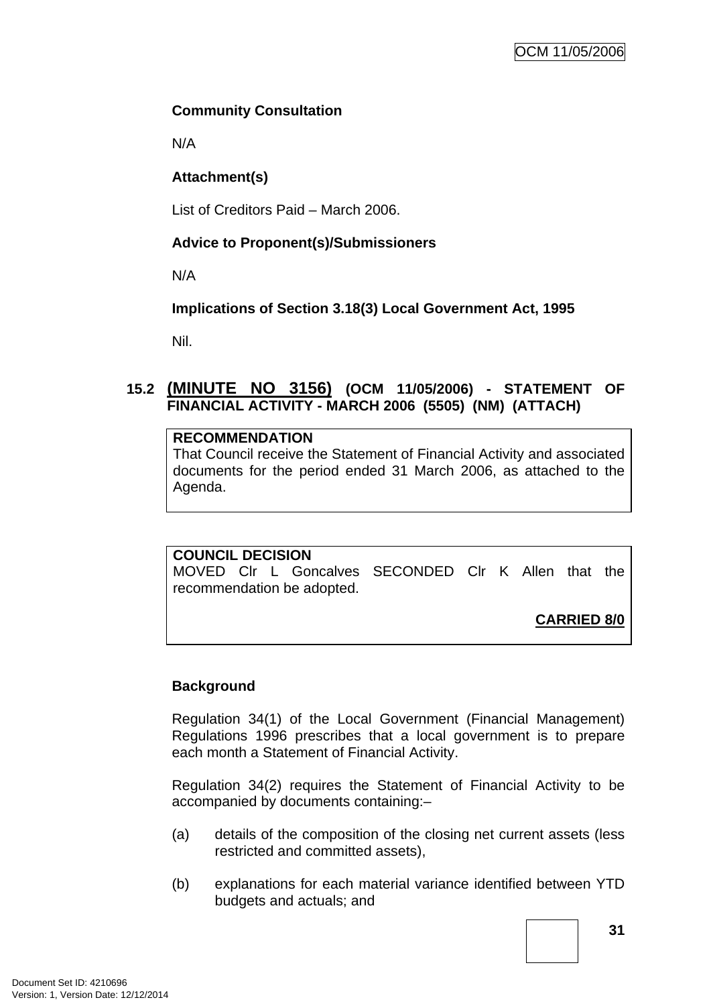### <span id="page-34-0"></span>**Community Consultation**

N/A

### **Attachment(s)**

List of Creditors Paid – March 2006.

### **Advice to Proponent(s)/Submissioners**

N/A

**Implications of Section 3.18(3) Local Government Act, 1995**

Nil.

### **15.2 (MINUTE NO 3156) (OCM 11/05/2006) - STATEMENT OF FINANCIAL ACTIVITY - MARCH 2006 (5505) (NM) (ATTACH)**

### **RECOMMENDATION**

That Council receive the Statement of Financial Activity and associated documents for the period ended 31 March 2006, as attached to the Agenda.

### **COUNCIL DECISION**

MOVED Clr L Goncalves SECONDED Clr K Allen that the recommendation be adopted.

**CARRIED 8/0**

### **Background**

Regulation 34(1) of the Local Government (Financial Management) Regulations 1996 prescribes that a local government is to prepare each month a Statement of Financial Activity.

Regulation 34(2) requires the Statement of Financial Activity to be accompanied by documents containing:–

- (a) details of the composition of the closing net current assets (less restricted and committed assets),
- (b) explanations for each material variance identified between YTD budgets and actuals; and

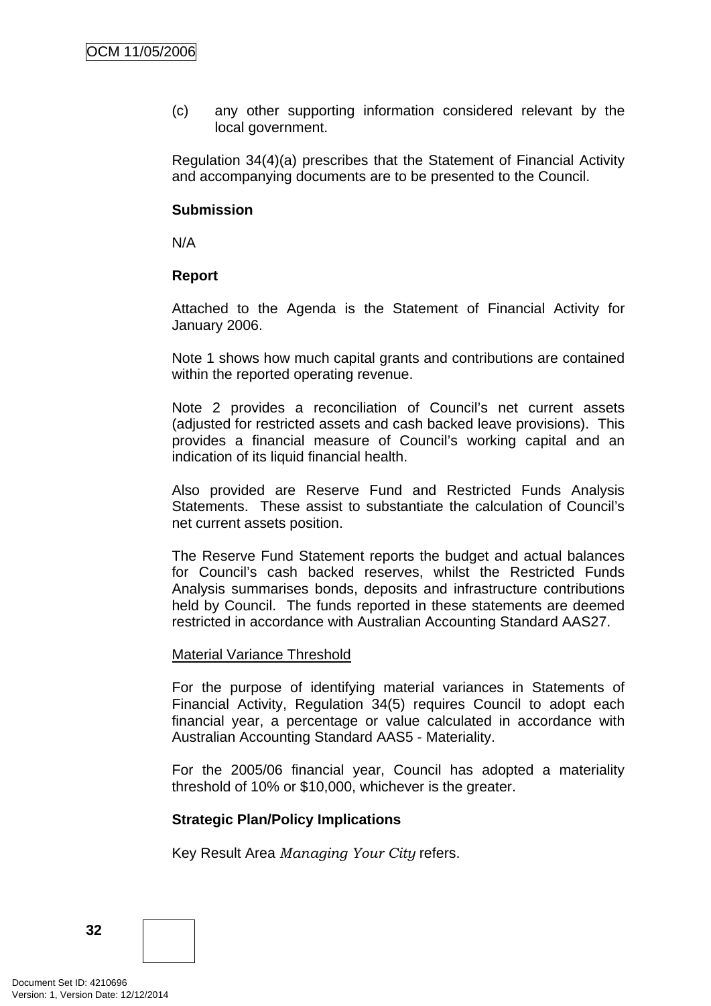(c) any other supporting information considered relevant by the local government.

Regulation 34(4)(a) prescribes that the Statement of Financial Activity and accompanying documents are to be presented to the Council.

#### **Submission**

N/A

### **Report**

Attached to the Agenda is the Statement of Financial Activity for January 2006.

Note 1 shows how much capital grants and contributions are contained within the reported operating revenue.

Note 2 provides a reconciliation of Council's net current assets (adjusted for restricted assets and cash backed leave provisions). This provides a financial measure of Council's working capital and an indication of its liquid financial health.

Also provided are Reserve Fund and Restricted Funds Analysis Statements. These assist to substantiate the calculation of Council's net current assets position.

The Reserve Fund Statement reports the budget and actual balances for Council's cash backed reserves, whilst the Restricted Funds Analysis summarises bonds, deposits and infrastructure contributions held by Council. The funds reported in these statements are deemed restricted in accordance with Australian Accounting Standard AAS27.

### Material Variance Threshold

For the purpose of identifying material variances in Statements of Financial Activity, Regulation 34(5) requires Council to adopt each financial year, a percentage or value calculated in accordance with Australian Accounting Standard AAS5 - Materiality.

For the 2005/06 financial year, Council has adopted a materiality threshold of 10% or \$10,000, whichever is the greater.

### **Strategic Plan/Policy Implications**

Key Result Area *Managing Your City* refers.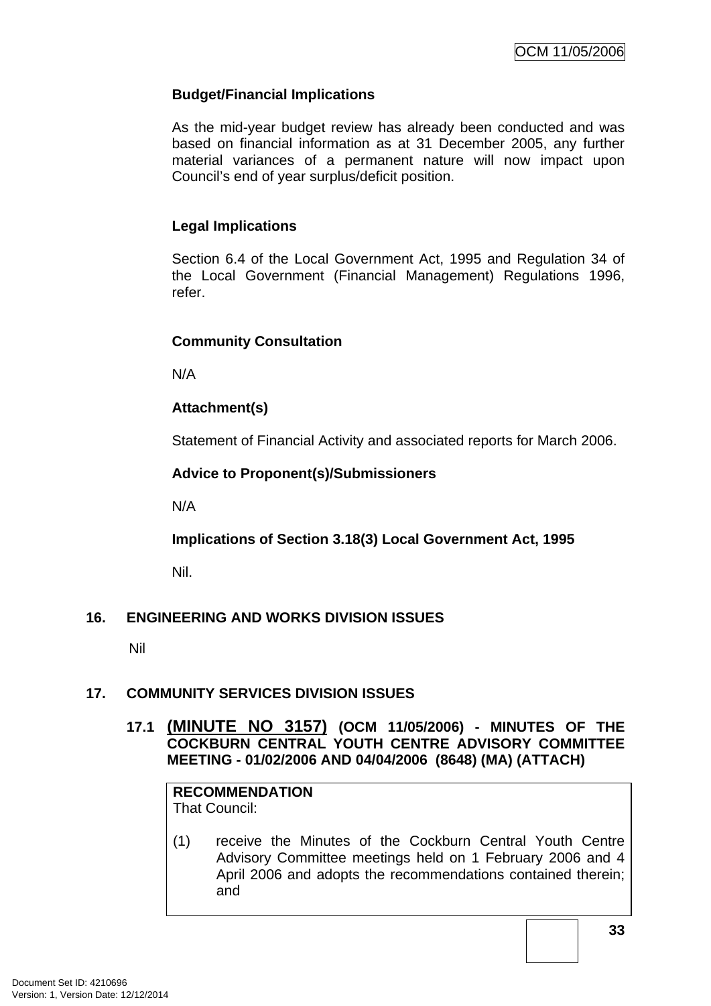### <span id="page-36-0"></span>**Budget/Financial Implications**

As the mid-year budget review has already been conducted and was based on financial information as at 31 December 2005, any further material variances of a permanent nature will now impact upon Council's end of year surplus/deficit position.

### **Legal Implications**

Section 6.4 of the Local Government Act, 1995 and Regulation 34 of the Local Government (Financial Management) Regulations 1996, refer.

### **Community Consultation**

N/A

### **Attachment(s)**

Statement of Financial Activity and associated reports for March 2006.

### **Advice to Proponent(s)/Submissioners**

N/A

**Implications of Section 3.18(3) Local Government Act, 1995**

Nil.

### **16. ENGINEERING AND WORKS DIVISION ISSUES**

Nil

### **17. COMMUNITY SERVICES DIVISION ISSUES**

### **17.1 (MINUTE NO 3157) (OCM 11/05/2006) - MINUTES OF THE COCKBURN CENTRAL YOUTH CENTRE ADVISORY COMMITTEE MEETING - 01/02/2006 AND 04/04/2006 (8648) (MA) (ATTACH)**

#### **RECOMMENDATION** That Council:

(1) receive the Minutes of the Cockburn Central Youth Centre Advisory Committee meetings held on 1 February 2006 and 4 April 2006 and adopts the recommendations contained therein; and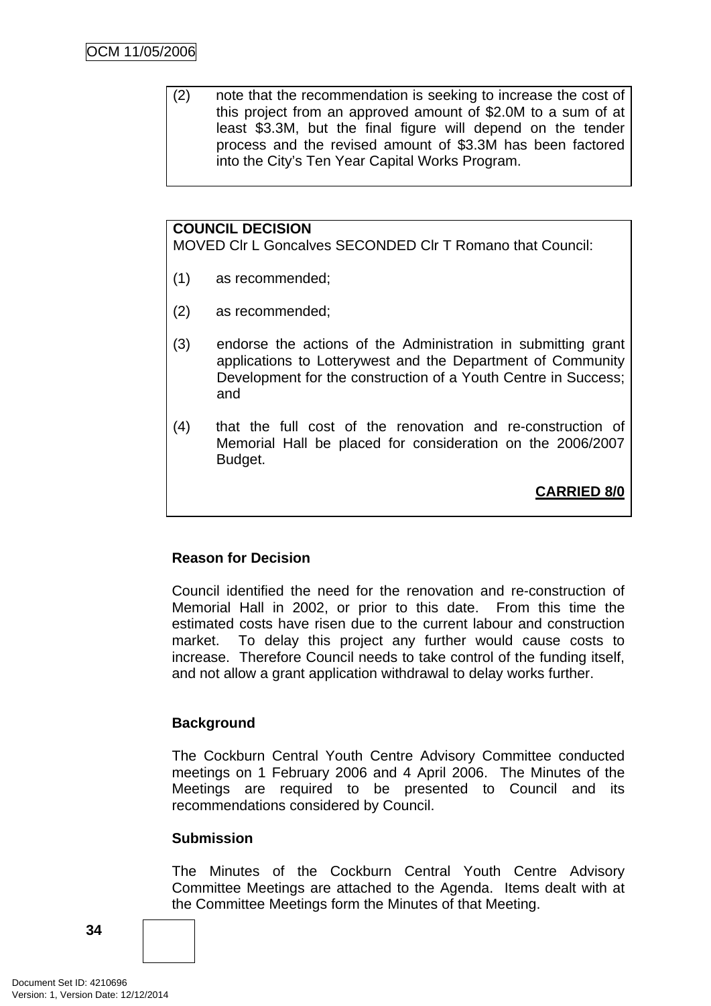(2) note that the recommendation is seeking to increase the cost of this project from an approved amount of \$2.0M to a sum of at least \$3.3M, but the final figure will depend on the tender process and the revised amount of \$3.3M has been factored into the City's Ten Year Capital Works Program.

### **COUNCIL DECISION**

MOVED Clr L Goncalves SECONDED Clr T Romano that Council:

- (1) as recommended;
- (2) as recommended;
- (3) endorse the actions of the Administration in submitting grant applications to Lotterywest and the Department of Community Development for the construction of a Youth Centre in Success; and
- (4) that the full cost of the renovation and re-construction of Memorial Hall be placed for consideration on the 2006/2007 Budget.

**CARRIED 8/0**

### **Reason for Decision**

Council identified the need for the renovation and re-construction of Memorial Hall in 2002, or prior to this date. From this time the estimated costs have risen due to the current labour and construction market. To delay this project any further would cause costs to increase. Therefore Council needs to take control of the funding itself, and not allow a grant application withdrawal to delay works further.

### **Background**

The Cockburn Central Youth Centre Advisory Committee conducted meetings on 1 February 2006 and 4 April 2006. The Minutes of the Meetings are required to be presented to Council and its recommendations considered by Council.

### **Submission**

The Minutes of the Cockburn Central Youth Centre Advisory Committee Meetings are attached to the Agenda. Items dealt with at the Committee Meetings form the Minutes of that Meeting.

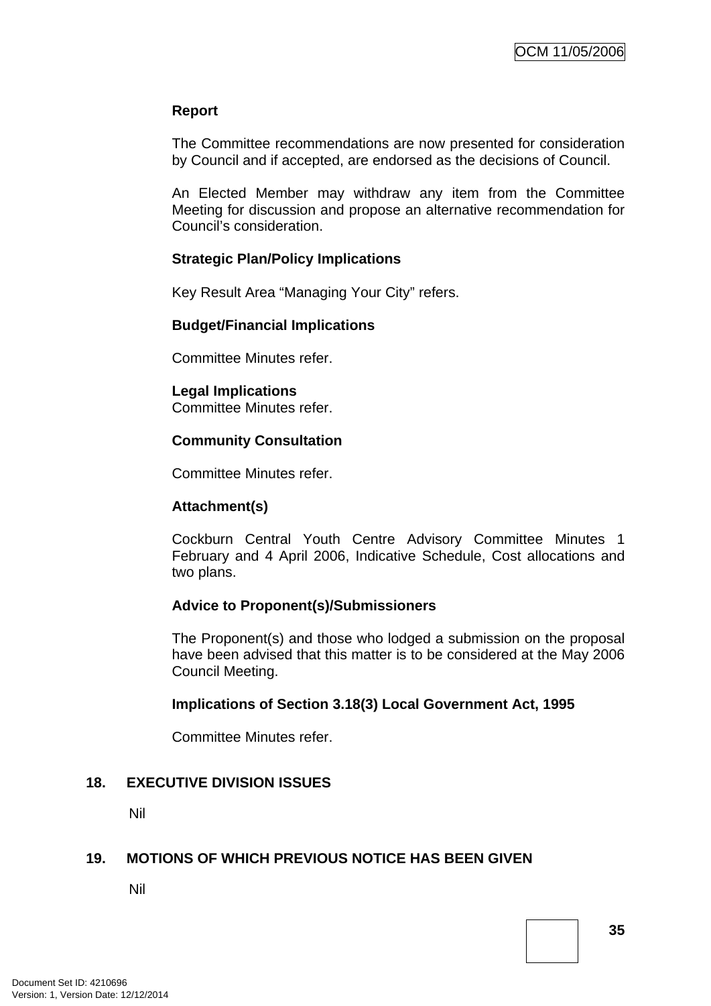### <span id="page-38-0"></span>**Report**

The Committee recommendations are now presented for consideration by Council and if accepted, are endorsed as the decisions of Council.

An Elected Member may withdraw any item from the Committee Meeting for discussion and propose an alternative recommendation for Council's consideration.

### **Strategic Plan/Policy Implications**

Key Result Area "Managing Your City" refers.

#### **Budget/Financial Implications**

Committee Minutes refer.

### **Legal Implications**

Committee Minutes refer.

#### **Community Consultation**

Committee Minutes refer.

#### **Attachment(s)**

Cockburn Central Youth Centre Advisory Committee Minutes 1 February and 4 April 2006, Indicative Schedule, Cost allocations and two plans.

### **Advice to Proponent(s)/Submissioners**

The Proponent(s) and those who lodged a submission on the proposal have been advised that this matter is to be considered at the May 2006 Council Meeting.

#### **Implications of Section 3.18(3) Local Government Act, 1995**

Committee Minutes refer.

### **18. EXECUTIVE DIVISION ISSUES**

Nil

### **19. MOTIONS OF WHICH PREVIOUS NOTICE HAS BEEN GIVEN**

Nil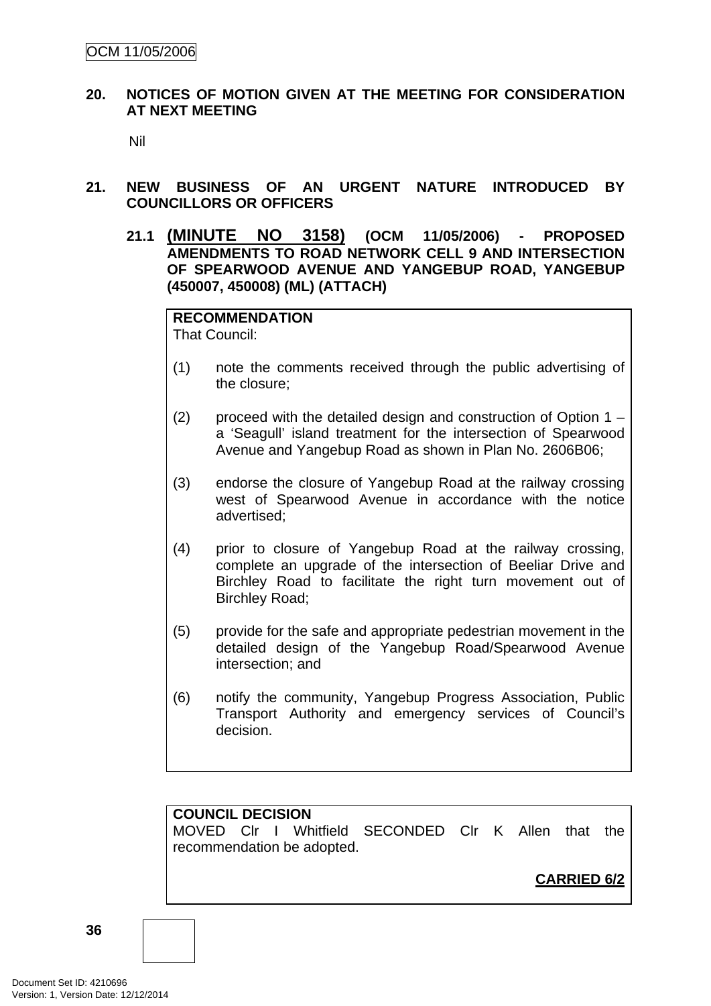### <span id="page-39-0"></span>**20. NOTICES OF MOTION GIVEN AT THE MEETING FOR CONSIDERATION AT NEXT MEETING**

Nil

- **21. NEW BUSINESS OF AN URGENT NATURE INTRODUCED BY COUNCILLORS OR OFFICERS** 
	- **21.1 (MINUTE NO 3158) (OCM 11/05/2006) PROPOSED AMENDMENTS TO ROAD NETWORK CELL 9 AND INTERSECTION OF SPEARWOOD AVENUE AND YANGEBUP ROAD, YANGEBUP (450007, 450008) (ML) (ATTACH)**

**RECOMMENDATION** That Council:

- (1) note the comments received through the public advertising of the closure;
- (2) proceed with the detailed design and construction of Option 1 a 'Seagull' island treatment for the intersection of Spearwood Avenue and Yangebup Road as shown in Plan No. 2606B06;
- (3) endorse the closure of Yangebup Road at the railway crossing west of Spearwood Avenue in accordance with the notice advertised;
- (4) prior to closure of Yangebup Road at the railway crossing, complete an upgrade of the intersection of Beeliar Drive and Birchley Road to facilitate the right turn movement out of Birchley Road;
- (5) provide for the safe and appropriate pedestrian movement in the detailed design of the Yangebup Road/Spearwood Avenue intersection; and
- (6) notify the community, Yangebup Progress Association, Public Transport Authority and emergency services of Council's decision.

**COUNCIL DECISION**

MOVED Clr I Whitfield SECONDED Clr K Allen that the recommendation be adopted.

**CARRIED 6/2**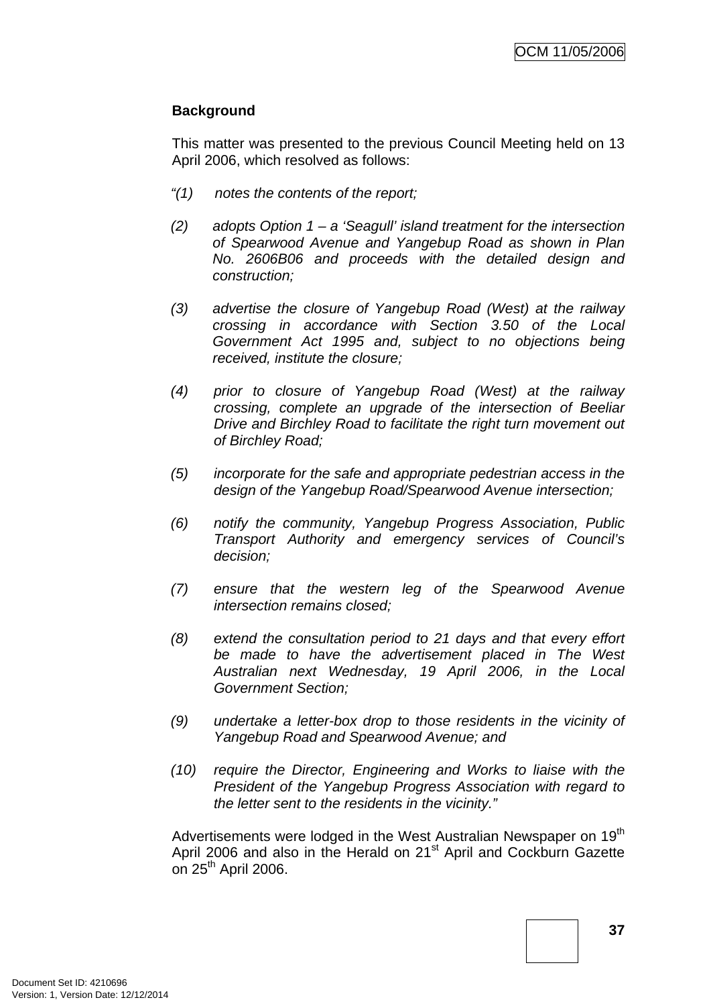### **Background**

This matter was presented to the previous Council Meeting held on 13 April 2006, which resolved as follows:

- *"(1) notes the contents of the report;*
- *(2) adopts Option 1 a 'Seagull' island treatment for the intersection of Spearwood Avenue and Yangebup Road as shown in Plan No. 2606B06 and proceeds with the detailed design and construction;*
- *(3) advertise the closure of Yangebup Road (West) at the railway crossing in accordance with Section 3.50 of the Local Government Act 1995 and, subject to no objections being received, institute the closure;*
- *(4) prior to closure of Yangebup Road (West) at the railway crossing, complete an upgrade of the intersection of Beeliar Drive and Birchley Road to facilitate the right turn movement out of Birchley Road;*
- *(5) incorporate for the safe and appropriate pedestrian access in the design of the Yangebup Road/Spearwood Avenue intersection;*
- *(6) notify the community, Yangebup Progress Association, Public Transport Authority and emergency services of Council's decision;*
- *(7) ensure that the western leg of the Spearwood Avenue intersection remains closed;*
- *(8) extend the consultation period to 21 days and that every effort be made to have the advertisement placed in The West Australian next Wednesday, 19 April 2006, in the Local Government Section;*
- *(9) undertake a letter-box drop to those residents in the vicinity of Yangebup Road and Spearwood Avenue; and*
- *(10) require the Director, Engineering and Works to liaise with the President of the Yangebup Progress Association with regard to the letter sent to the residents in the vicinity."*

Advertisements were lodged in the West Australian Newspaper on 19<sup>th</sup> April 2006 and also in the Herald on 21<sup>st</sup> April and Cockburn Gazette on 25<sup>th</sup> April 2006.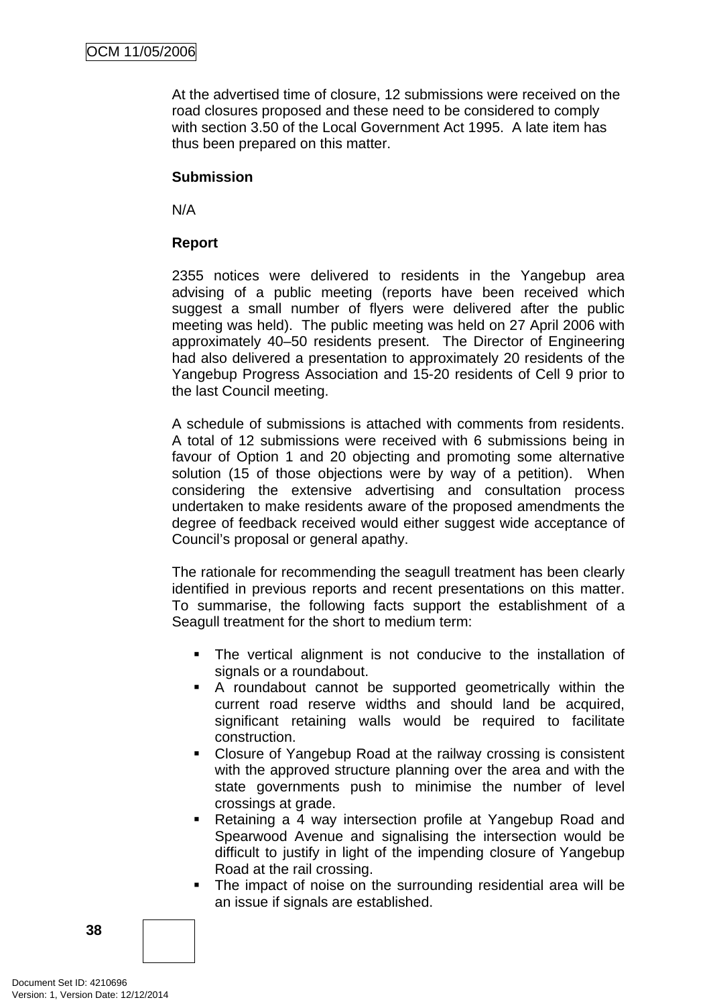At the advertised time of closure, 12 submissions were received on the road closures proposed and these need to be considered to comply with section 3.50 of the Local Government Act 1995. A late item has thus been prepared on this matter.

### **Submission**

N/A

### **Report**

2355 notices were delivered to residents in the Yangebup area advising of a public meeting (reports have been received which suggest a small number of flyers were delivered after the public meeting was held). The public meeting was held on 27 April 2006 with approximately 40–50 residents present. The Director of Engineering had also delivered a presentation to approximately 20 residents of the Yangebup Progress Association and 15-20 residents of Cell 9 prior to the last Council meeting.

A schedule of submissions is attached with comments from residents. A total of 12 submissions were received with 6 submissions being in favour of Option 1 and 20 objecting and promoting some alternative solution (15 of those objections were by way of a petition). When considering the extensive advertising and consultation process undertaken to make residents aware of the proposed amendments the degree of feedback received would either suggest wide acceptance of Council's proposal or general apathy.

The rationale for recommending the seagull treatment has been clearly identified in previous reports and recent presentations on this matter. To summarise, the following facts support the establishment of a Seagull treatment for the short to medium term:

- The vertical alignment is not conducive to the installation of signals or a roundabout.
- A roundabout cannot be supported geometrically within the current road reserve widths and should land be acquired, significant retaining walls would be required to facilitate construction.
- Closure of Yangebup Road at the railway crossing is consistent with the approved structure planning over the area and with the state governments push to minimise the number of level crossings at grade.
- Retaining a 4 way intersection profile at Yangebup Road and Spearwood Avenue and signalising the intersection would be difficult to justify in light of the impending closure of Yangebup Road at the rail crossing.
- The impact of noise on the surrounding residential area will be an issue if signals are established.

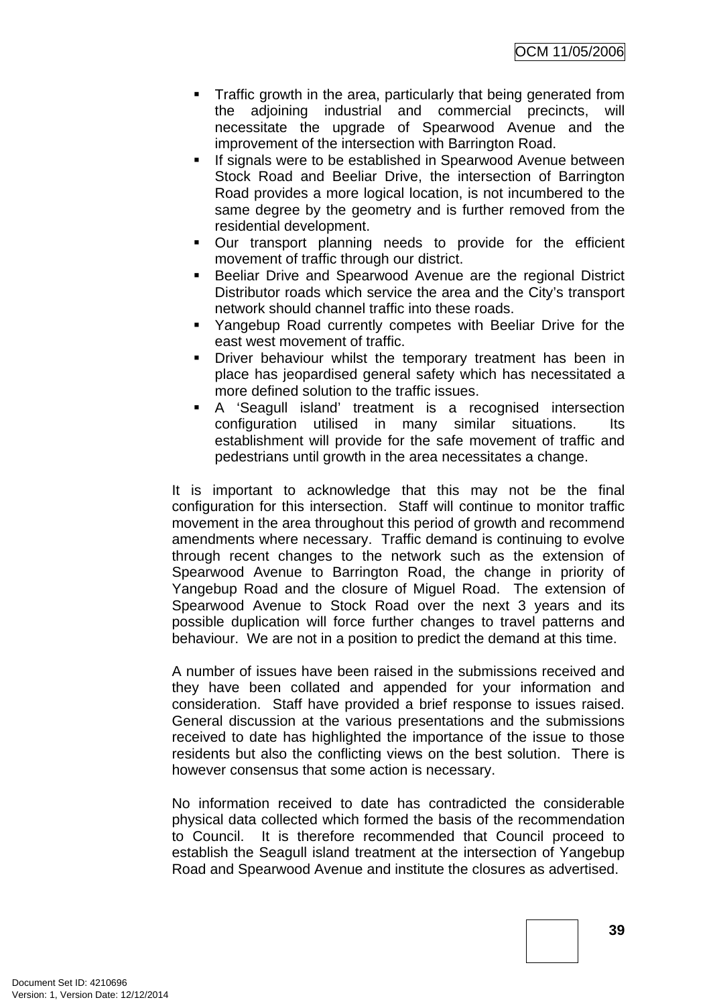- **Traffic growth in the area, particularly that being generated from** the adjoining industrial and commercial precincts, will necessitate the upgrade of Spearwood Avenue and the improvement of the intersection with Barrington Road.
- **If signals were to be established in Spearwood Avenue between** Stock Road and Beeliar Drive, the intersection of Barrington Road provides a more logical location, is not incumbered to the same degree by the geometry and is further removed from the residential development.
- Our transport planning needs to provide for the efficient movement of traffic through our district.
- Beeliar Drive and Spearwood Avenue are the regional District Distributor roads which service the area and the City's transport network should channel traffic into these roads.
- Yangebup Road currently competes with Beeliar Drive for the east west movement of traffic.
- **•** Driver behaviour whilst the temporary treatment has been in place has jeopardised general safety which has necessitated a more defined solution to the traffic issues.
- A 'Seagull island' treatment is a recognised intersection configuration utilised in many similar situations. Its establishment will provide for the safe movement of traffic and pedestrians until growth in the area necessitates a change.

It is important to acknowledge that this may not be the final configuration for this intersection. Staff will continue to monitor traffic movement in the area throughout this period of growth and recommend amendments where necessary. Traffic demand is continuing to evolve through recent changes to the network such as the extension of Spearwood Avenue to Barrington Road, the change in priority of Yangebup Road and the closure of Miguel Road. The extension of Spearwood Avenue to Stock Road over the next 3 years and its possible duplication will force further changes to travel patterns and behaviour. We are not in a position to predict the demand at this time.

A number of issues have been raised in the submissions received and they have been collated and appended for your information and consideration. Staff have provided a brief response to issues raised. General discussion at the various presentations and the submissions received to date has highlighted the importance of the issue to those residents but also the conflicting views on the best solution. There is however consensus that some action is necessary.

No information received to date has contradicted the considerable physical data collected which formed the basis of the recommendation to Council. It is therefore recommended that Council proceed to establish the Seagull island treatment at the intersection of Yangebup Road and Spearwood Avenue and institute the closures as advertised.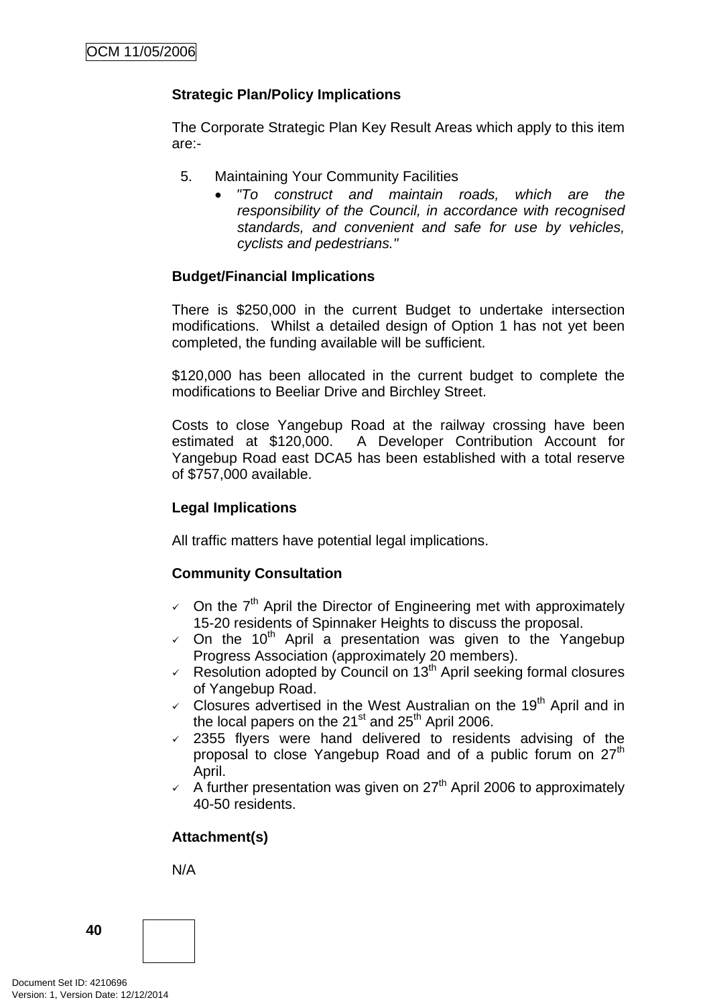### **Strategic Plan/Policy Implications**

The Corporate Strategic Plan Key Result Areas which apply to this item are:-

- 5. Maintaining Your Community Facilities
	- *"To construct and maintain roads, which are the responsibility of the Council, in accordance with recognised standards, and convenient and safe for use by vehicles, cyclists and pedestrians."*

### **Budget/Financial Implications**

There is \$250,000 in the current Budget to undertake intersection modifications. Whilst a detailed design of Option 1 has not yet been completed, the funding available will be sufficient.

\$120,000 has been allocated in the current budget to complete the modifications to Beeliar Drive and Birchley Street.

Costs to close Yangebup Road at the railway crossing have been estimated at \$120,000. A Developer Contribution Account for Yangebup Road east DCA5 has been established with a total reserve of \$757,000 available.

### **Legal Implications**

All traffic matters have potential legal implications.

### **Community Consultation**

- $\sim$  On the 7<sup>th</sup> April the Director of Engineering met with approximately 15-20 residents of Spinnaker Heights to discuss the proposal.
- $\sim$  On the 10<sup>th</sup> April a presentation was given to the Yangebup Progress Association (approximately 20 members).
- Resolution adopted by Council on  $13<sup>th</sup>$  April seeking formal closures of Yangebup Road.
- $\checkmark$  Closures advertised in the West Australian on the 19<sup>th</sup> April and in the local papers on the  $21^{st}$  and  $25^{th}$  April 2006.
- $\overline{6}$  2355 flyers were hand delivered to residents advising of the proposal to close Yangebup Road and of a public forum on  $27<sup>th</sup>$ April.
- $\sim$  A further presentation was given on 27<sup>th</sup> April 2006 to approximately 40-50 residents.

### **Attachment(s)**

N/A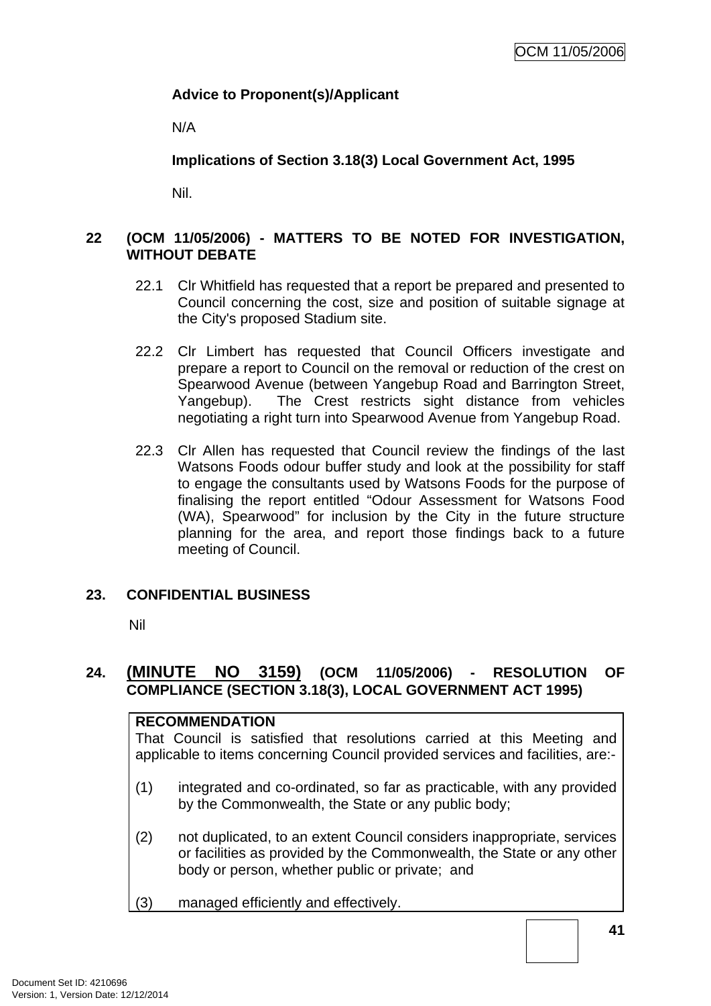### <span id="page-44-0"></span>**Advice to Proponent(s)/Applicant**

N/A

**Implications of Section 3.18(3) Local Government Act, 1995**

Nil.

### **22 (OCM 11/05/2006) - MATTERS TO BE NOTED FOR INVESTIGATION, WITHOUT DEBATE**

- 22.1 Clr Whitfield has requested that a report be prepared and presented to Council concerning the cost, size and position of suitable signage at the City's proposed Stadium site.
- 22.2 Clr Limbert has requested that Council Officers investigate and prepare a report to Council on the removal or reduction of the crest on Spearwood Avenue (between Yangebup Road and Barrington Street, Yangebup). The Crest restricts sight distance from vehicles negotiating a right turn into Spearwood Avenue from Yangebup Road.
- 22.3 Clr Allen has requested that Council review the findings of the last Watsons Foods odour buffer study and look at the possibility for staff to engage the consultants used by Watsons Foods for the purpose of finalising the report entitled "Odour Assessment for Watsons Food (WA), Spearwood" for inclusion by the City in the future structure planning for the area, and report those findings back to a future meeting of Council.

### **23. CONFIDENTIAL BUSINESS**

Nil

### **24. (MINUTE NO 3159) (OCM 11/05/2006) - RESOLUTION OF COMPLIANCE (SECTION 3.18(3), LOCAL GOVERNMENT ACT 1995)**

| <b>RECOMMENDATION</b><br>That Council is satisfied that resolutions carried at this Meeting and<br>applicable to items concerning Council provided services and facilities, are:- |                                                                                                                                                                                                   |  |  |  |  |  |
|-----------------------------------------------------------------------------------------------------------------------------------------------------------------------------------|---------------------------------------------------------------------------------------------------------------------------------------------------------------------------------------------------|--|--|--|--|--|
| (1)                                                                                                                                                                               | integrated and co-ordinated, so far as practicable, with any provided<br>by the Commonwealth, the State or any public body;                                                                       |  |  |  |  |  |
| (2)                                                                                                                                                                               | not duplicated, to an extent Council considers inappropriate, services<br>or facilities as provided by the Commonwealth, the State or any other<br>body or person, whether public or private; and |  |  |  |  |  |
| (3)                                                                                                                                                                               | managed efficiently and effectively.                                                                                                                                                              |  |  |  |  |  |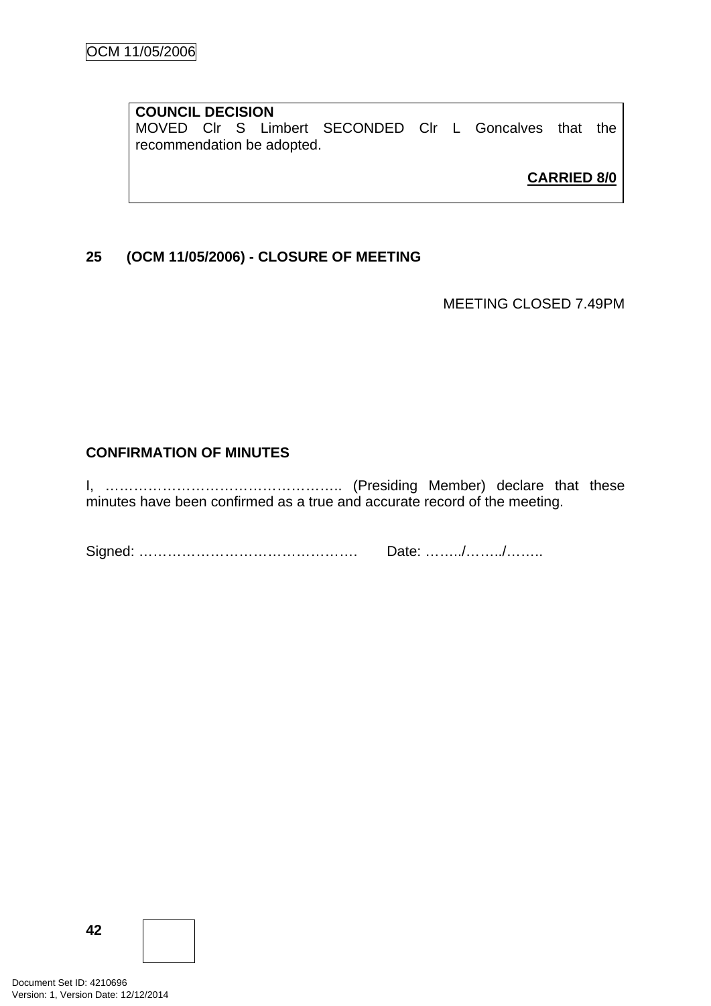#### <span id="page-45-0"></span>**COUNCIL DECISION**

MOVED Clr S Limbert SECONDED Clr L Goncalves that the recommendation be adopted.

**CARRIED 8/0**

### **25 (OCM 11/05/2006) - CLOSURE OF MEETING**

MEETING CLOSED 7.49PM

### **CONFIRMATION OF MINUTES**

I, ………………………………………….. (Presiding Member) declare that these minutes have been confirmed as a true and accurate record of the meeting.

Signed: ………………………………………. Date: ……../……../……..

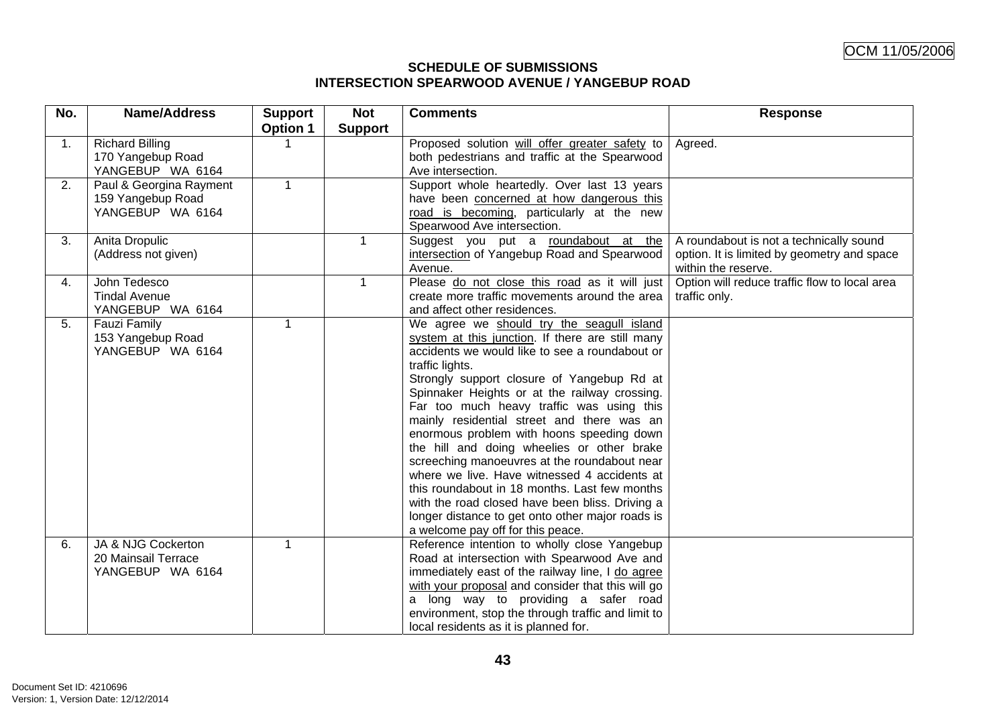#### **SCHEDULE OF SUBMISSIONS INTERSECTION SPEARWOOD AVENUE / YANGEBUP ROAD**

| No. | <b>Name/Address</b>     | <b>Support</b>  | <b>Not</b>     | <b>Comments</b>                                    | <b>Response</b>                               |
|-----|-------------------------|-----------------|----------------|----------------------------------------------------|-----------------------------------------------|
|     |                         | <b>Option 1</b> | <b>Support</b> |                                                    |                                               |
| 1.  | <b>Richard Billing</b>  |                 |                | Proposed solution will offer greater safety to     | Agreed.                                       |
|     | 170 Yangebup Road       |                 |                | both pedestrians and traffic at the Spearwood      |                                               |
|     | YANGEBUP WA 6164        |                 |                | Ave intersection.                                  |                                               |
| 2.  | Paul & Georgina Rayment | 1               |                | Support whole heartedly. Over last 13 years        |                                               |
|     | 159 Yangebup Road       |                 |                | have been concerned at how dangerous this          |                                               |
|     | YANGEBUP WA 6164        |                 |                | road is becoming, particularly at the new          |                                               |
|     |                         |                 |                | Spearwood Ave intersection.                        |                                               |
| 3.  | Anita Dropulic          |                 | $\mathbf 1$    | Suggest you put a roundabout at the                | A roundabout is not a technically sound       |
|     | (Address not given)     |                 |                | intersection of Yangebup Road and Spearwood        | option. It is limited by geometry and space   |
|     |                         |                 |                | Avenue.                                            | within the reserve.                           |
| 4.  | John Tedesco            |                 | $\mathbf{1}$   | Please do not close this road as it will just      | Option will reduce traffic flow to local area |
|     | <b>Tindal Avenue</b>    |                 |                | create more traffic movements around the area      | traffic only.                                 |
|     | YANGEBUP WA 6164        |                 |                | and affect other residences.                       |                                               |
| 5.  | <b>Fauzi Family</b>     |                 |                | We agree we should try the seagull island          |                                               |
|     | 153 Yangebup Road       |                 |                | system at this junction. If there are still many   |                                               |
|     | YANGEBUP WA 6164        |                 |                | accidents we would like to see a roundabout or     |                                               |
|     |                         |                 |                | traffic lights.                                    |                                               |
|     |                         |                 |                | Strongly support closure of Yangebup Rd at         |                                               |
|     |                         |                 |                | Spinnaker Heights or at the railway crossing.      |                                               |
|     |                         |                 |                | Far too much heavy traffic was using this          |                                               |
|     |                         |                 |                | mainly residential street and there was an         |                                               |
|     |                         |                 |                | enormous problem with hoons speeding down          |                                               |
|     |                         |                 |                | the hill and doing wheelies or other brake         |                                               |
|     |                         |                 |                | screeching manoeuvres at the roundabout near       |                                               |
|     |                         |                 |                | where we live. Have witnessed 4 accidents at       |                                               |
|     |                         |                 |                | this roundabout in 18 months. Last few months      |                                               |
|     |                         |                 |                | with the road closed have been bliss. Driving a    |                                               |
|     |                         |                 |                | longer distance to get onto other major roads is   |                                               |
|     |                         |                 |                | a welcome pay off for this peace.                  |                                               |
| 6.  | JA & NJG Cockerton      | 1               |                | Reference intention to wholly close Yangebup       |                                               |
|     | 20 Mainsail Terrace     |                 |                | Road at intersection with Spearwood Ave and        |                                               |
|     | YANGEBUP WA 6164        |                 |                | immediately east of the railway line, I do agree   |                                               |
|     |                         |                 |                | with your proposal and consider that this will go  |                                               |
|     |                         |                 |                | a long way to providing a safer road               |                                               |
|     |                         |                 |                | environment, stop the through traffic and limit to |                                               |
|     |                         |                 |                | local residents as it is planned for.              |                                               |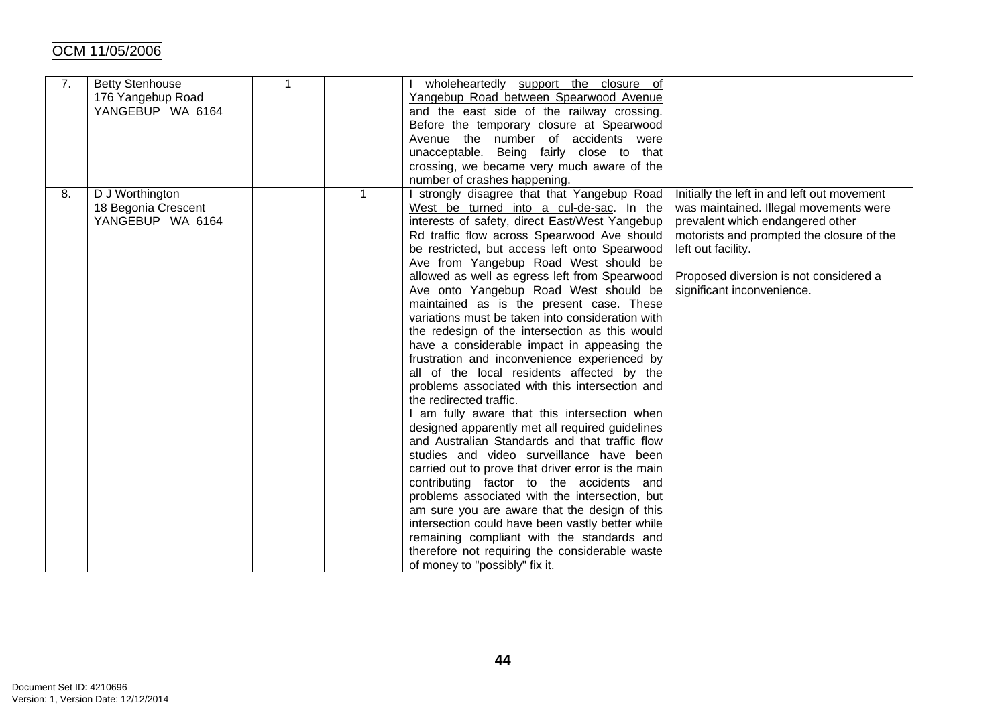| 7. | <b>Betty Stenhouse</b><br>176 Yangebup Road<br>YANGEBUP WA 6164 | 1 |   | wholeheartedly support the closure of<br>Yangebup Road between Spearwood Avenue<br>and the east side of the railway crossing.<br>Before the temporary closure at Spearwood<br>Avenue the number of accidents were<br>unacceptable. Being fairly close to that<br>crossing, we became very much aware of the<br>number of crashes happening.                                                                                                                                                                                                                                                                                                                                                                                                                                                                                                                                                                                                                                                                                                                                                                                                                                                                                                                                                                                                          |                                                                                                                                                                                                                                                                      |
|----|-----------------------------------------------------------------|---|---|------------------------------------------------------------------------------------------------------------------------------------------------------------------------------------------------------------------------------------------------------------------------------------------------------------------------------------------------------------------------------------------------------------------------------------------------------------------------------------------------------------------------------------------------------------------------------------------------------------------------------------------------------------------------------------------------------------------------------------------------------------------------------------------------------------------------------------------------------------------------------------------------------------------------------------------------------------------------------------------------------------------------------------------------------------------------------------------------------------------------------------------------------------------------------------------------------------------------------------------------------------------------------------------------------------------------------------------------------|----------------------------------------------------------------------------------------------------------------------------------------------------------------------------------------------------------------------------------------------------------------------|
| 8. | D J Worthington<br>18 Begonia Crescent<br>YANGEBUP WA 6164      |   | 1 | I strongly disagree that that Yangebup Road<br>West be turned into a cul-de-sac. In the<br>interests of safety, direct East/West Yangebup<br>Rd traffic flow across Spearwood Ave should<br>be restricted, but access left onto Spearwood<br>Ave from Yangebup Road West should be<br>allowed as well as egress left from Spearwood<br>Ave onto Yangebup Road West should be<br>maintained as is the present case. These<br>variations must be taken into consideration with<br>the redesign of the intersection as this would<br>have a considerable impact in appeasing the<br>frustration and inconvenience experienced by<br>all of the local residents affected by the<br>problems associated with this intersection and<br>the redirected traffic.<br>I am fully aware that this intersection when<br>designed apparently met all required guidelines<br>and Australian Standards and that traffic flow<br>studies and video surveillance have been<br>carried out to prove that driver error is the main<br>contributing factor to the accidents and<br>problems associated with the intersection, but<br>am sure you are aware that the design of this<br>intersection could have been vastly better while<br>remaining compliant with the standards and<br>therefore not requiring the considerable waste<br>of money to "possibly" fix it. | Initially the left in and left out movement<br>was maintained. Illegal movements were<br>prevalent which endangered other<br>motorists and prompted the closure of the<br>left out facility.<br>Proposed diversion is not considered a<br>significant inconvenience. |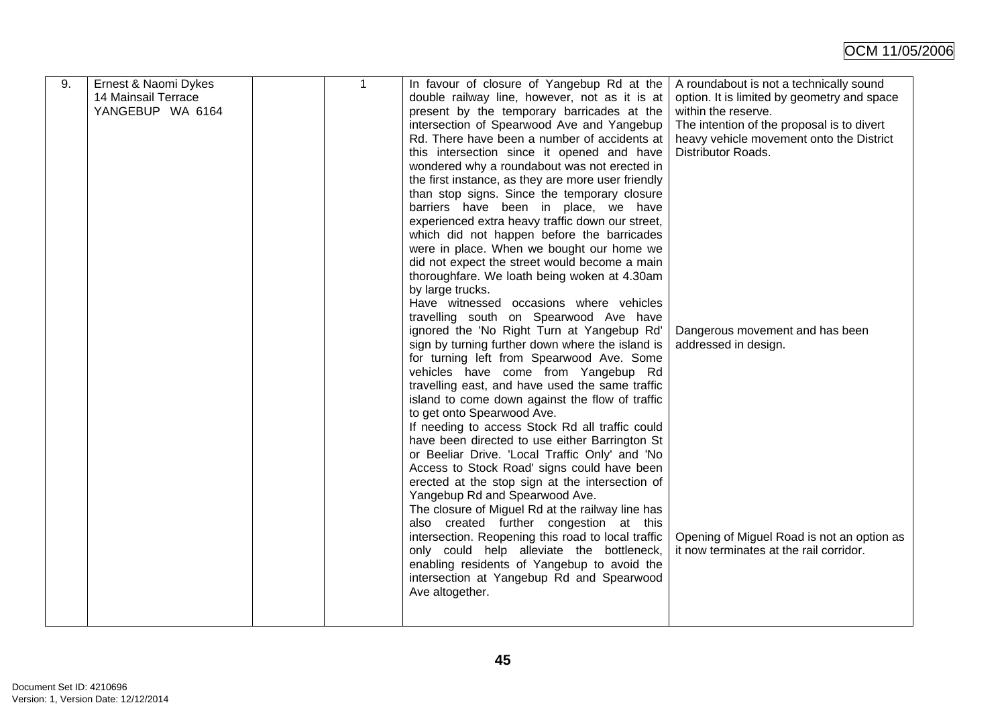| 9. | Ernest & Naomi Dykes | $\mathbf 1$ | In favour of closure of Yangebup Rd at the         | A roundabout is not a technically sound     |
|----|----------------------|-------------|----------------------------------------------------|---------------------------------------------|
|    | 14 Mainsail Terrace  |             | double railway line, however, not as it is at      | option. It is limited by geometry and space |
|    | YANGEBUP WA 6164     |             | present by the temporary barricades at the         | within the reserve.                         |
|    |                      |             | intersection of Spearwood Ave and Yangebup         | The intention of the proposal is to divert  |
|    |                      |             | Rd. There have been a number of accidents at       | heavy vehicle movement onto the District    |
|    |                      |             |                                                    |                                             |
|    |                      |             | this intersection since it opened and have         | Distributor Roads.                          |
|    |                      |             | wondered why a roundabout was not erected in       |                                             |
|    |                      |             | the first instance, as they are more user friendly |                                             |
|    |                      |             | than stop signs. Since the temporary closure       |                                             |
|    |                      |             | barriers have been in place, we have               |                                             |
|    |                      |             | experienced extra heavy traffic down our street,   |                                             |
|    |                      |             | which did not happen before the barricades         |                                             |
|    |                      |             | were in place. When we bought our home we          |                                             |
|    |                      |             | did not expect the street would become a main      |                                             |
|    |                      |             | thoroughfare. We loath being woken at 4.30am       |                                             |
|    |                      |             | by large trucks.                                   |                                             |
|    |                      |             | Have witnessed occasions where vehicles            |                                             |
|    |                      |             | travelling south on Spearwood Ave have             |                                             |
|    |                      |             | ignored the 'No Right Turn at Yangebup Rd'         | Dangerous movement and has been             |
|    |                      |             | sign by turning further down where the island is   | addressed in design.                        |
|    |                      |             | for turning left from Spearwood Ave. Some          |                                             |
|    |                      |             | vehicles have come from Yangebup Rd                |                                             |
|    |                      |             | travelling east, and have used the same traffic    |                                             |
|    |                      |             | island to come down against the flow of traffic    |                                             |
|    |                      |             | to get onto Spearwood Ave.                         |                                             |
|    |                      |             | If needing to access Stock Rd all traffic could    |                                             |
|    |                      |             | have been directed to use either Barrington St     |                                             |
|    |                      |             | or Beeliar Drive. 'Local Traffic Only' and 'No     |                                             |
|    |                      |             | Access to Stock Road' signs could have been        |                                             |
|    |                      |             | erected at the stop sign at the intersection of    |                                             |
|    |                      |             | Yangebup Rd and Spearwood Ave.                     |                                             |
|    |                      |             |                                                    |                                             |
|    |                      |             | The closure of Miguel Rd at the railway line has   |                                             |
|    |                      |             | also created further congestion at this            |                                             |
|    |                      |             | intersection. Reopening this road to local traffic | Opening of Miguel Road is not an option as  |
|    |                      |             | only could help alleviate the bottleneck,          | it now terminates at the rail corridor.     |
|    |                      |             | enabling residents of Yangebup to avoid the        |                                             |
|    |                      |             | intersection at Yangebup Rd and Spearwood          |                                             |
|    |                      |             | Ave altogether.                                    |                                             |
|    |                      |             |                                                    |                                             |
|    |                      |             |                                                    |                                             |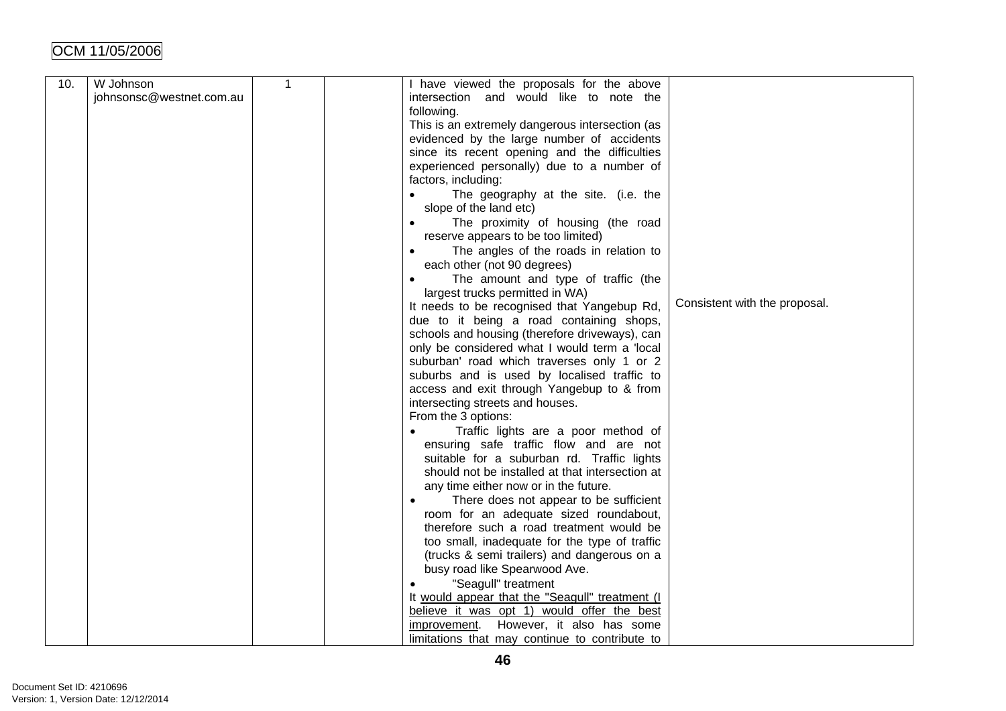| 10. | W Johnson                | $\mathbf 1$ | have viewed the proposals for the above             |                               |
|-----|--------------------------|-------------|-----------------------------------------------------|-------------------------------|
|     | johnsonsc@westnet.com.au |             | intersection and would like to note the             |                               |
|     |                          |             | following.                                          |                               |
|     |                          |             | This is an extremely dangerous intersection (as     |                               |
|     |                          |             | evidenced by the large number of accidents          |                               |
|     |                          |             | since its recent opening and the difficulties       |                               |
|     |                          |             | experienced personally) due to a number of          |                               |
|     |                          |             | factors, including:                                 |                               |
|     |                          |             | The geography at the site. (i.e. the                |                               |
|     |                          |             | slope of the land etc)                              |                               |
|     |                          |             | The proximity of housing (the road<br>$\bullet$     |                               |
|     |                          |             | reserve appears to be too limited)                  |                               |
|     |                          |             | The angles of the roads in relation to<br>$\bullet$ |                               |
|     |                          |             | each other (not 90 degrees)                         |                               |
|     |                          |             | The amount and type of traffic (the                 |                               |
|     |                          |             | largest trucks permitted in WA)                     |                               |
|     |                          |             | It needs to be recognised that Yangebup Rd,         | Consistent with the proposal. |
|     |                          |             | due to it being a road containing shops,            |                               |
|     |                          |             | schools and housing (therefore driveways), can      |                               |
|     |                          |             | only be considered what I would term a 'local       |                               |
|     |                          |             | suburban' road which traverses only 1 or 2          |                               |
|     |                          |             | suburbs and is used by localised traffic to         |                               |
|     |                          |             | access and exit through Yangebup to & from          |                               |
|     |                          |             | intersecting streets and houses.                    |                               |
|     |                          |             | From the 3 options:                                 |                               |
|     |                          |             | Traffic lights are a poor method of                 |                               |
|     |                          |             | ensuring safe traffic flow and are not              |                               |
|     |                          |             | suitable for a suburban rd. Traffic lights          |                               |
|     |                          |             | should not be installed at that intersection at     |                               |
|     |                          |             | any time either now or in the future.               |                               |
|     |                          |             | There does not appear to be sufficient              |                               |
|     |                          |             | room for an adequate sized roundabout,              |                               |
|     |                          |             | therefore such a road treatment would be            |                               |
|     |                          |             | too small, inadequate for the type of traffic       |                               |
|     |                          |             | (trucks & semi trailers) and dangerous on a         |                               |
|     |                          |             | busy road like Spearwood Ave.                       |                               |
|     |                          |             | "Seagull" treatment                                 |                               |
|     |                          |             | It would appear that the "Seagull" treatment (I     |                               |
|     |                          |             | believe it was opt 1) would offer the best          |                               |
|     |                          |             | However, it also has some<br>improvement.           |                               |
|     |                          |             | limitations that may continue to contribute to      |                               |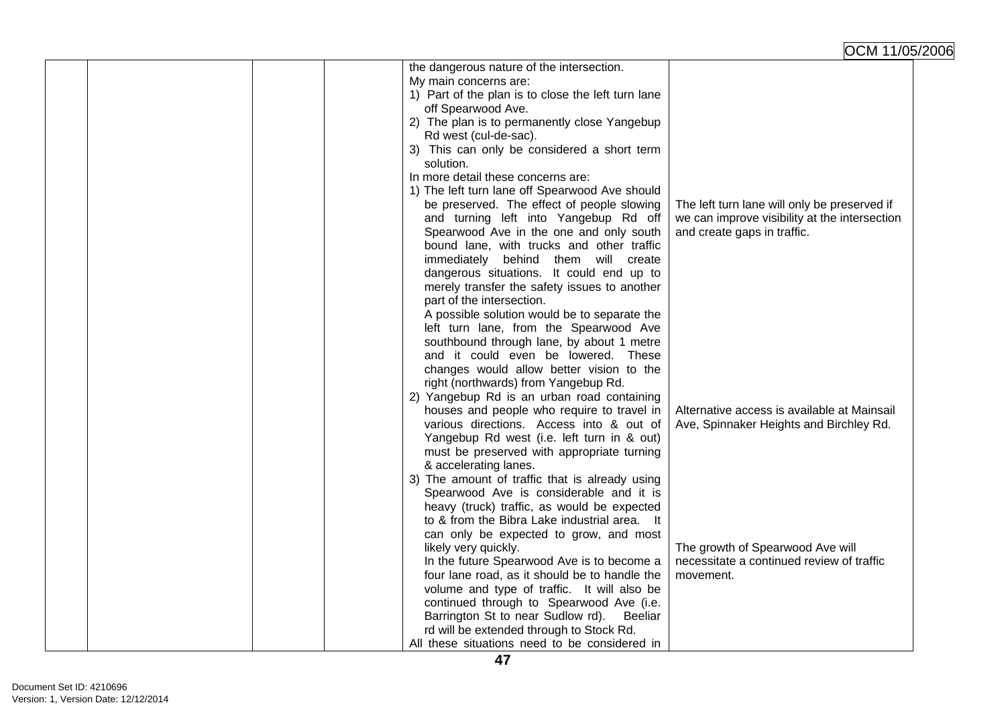|  | the dangerous nature of the intersection.          |                                               |
|--|----------------------------------------------------|-----------------------------------------------|
|  | My main concerns are:                              |                                               |
|  | 1) Part of the plan is to close the left turn lane |                                               |
|  | off Spearwood Ave.                                 |                                               |
|  | 2) The plan is to permanently close Yangebup       |                                               |
|  | Rd west (cul-de-sac).                              |                                               |
|  | 3) This can only be considered a short term        |                                               |
|  | solution.                                          |                                               |
|  | In more detail these concerns are:                 |                                               |
|  | 1) The left turn lane off Spearwood Ave should     |                                               |
|  | be preserved. The effect of people slowing         | The left turn lane will only be preserved if  |
|  | and turning left into Yangebup Rd off              | we can improve visibility at the intersection |
|  | Spearwood Ave in the one and only south            | and create gaps in traffic.                   |
|  | bound lane, with trucks and other traffic          |                                               |
|  | immediately behind them will create                |                                               |
|  | dangerous situations. It could end up to           |                                               |
|  | merely transfer the safety issues to another       |                                               |
|  | part of the intersection.                          |                                               |
|  | A possible solution would be to separate the       |                                               |
|  | left turn lane, from the Spearwood Ave             |                                               |
|  | southbound through lane, by about 1 metre          |                                               |
|  | and it could even be lowered. These                |                                               |
|  | changes would allow better vision to the           |                                               |
|  | right (northwards) from Yangebup Rd.               |                                               |
|  | 2) Yangebup Rd is an urban road containing         |                                               |
|  | houses and people who require to travel in         | Alternative access is available at Mainsail   |
|  | various directions. Access into & out of           | Ave, Spinnaker Heights and Birchley Rd.       |
|  | Yangebup Rd west (i.e. left turn in & out)         |                                               |
|  | must be preserved with appropriate turning         |                                               |
|  | & accelerating lanes.                              |                                               |
|  | 3) The amount of traffic that is already using     |                                               |
|  | Spearwood Ave is considerable and it is            |                                               |
|  | heavy (truck) traffic, as would be expected        |                                               |
|  | to & from the Bibra Lake industrial area. It       |                                               |
|  | can only be expected to grow, and most             |                                               |
|  | likely very quickly.                               | The growth of Spearwood Ave will              |
|  | In the future Spearwood Ave is to become a         | necessitate a continued review of traffic     |
|  | four lane road, as it should be to handle the      | movement.                                     |
|  | volume and type of traffic. It will also be        |                                               |
|  | continued through to Spearwood Ave (i.e.           |                                               |
|  | Barrington St to near Sudlow rd). Beeliar          |                                               |
|  | rd will be extended through to Stock Rd.           |                                               |
|  | All these situations need to be considered in      |                                               |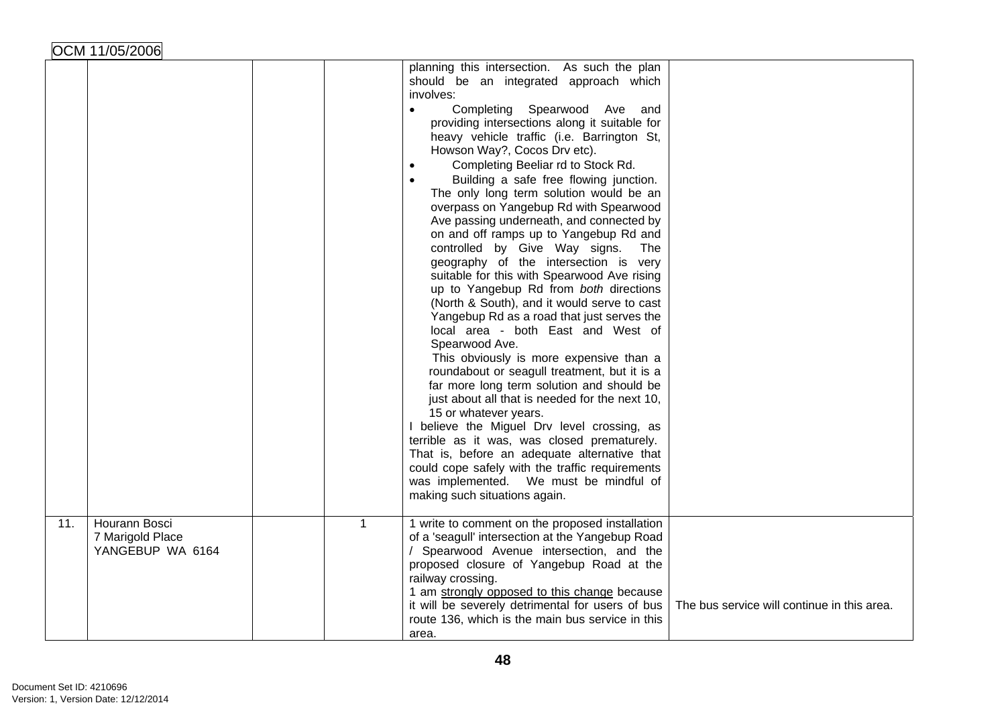|     |                                                       |             | planning this intersection. As such the plan<br>should be an integrated approach which<br>involves:<br>$\bullet$<br>Completing Spearwood Ave and<br>providing intersections along it suitable for<br>heavy vehicle traffic (i.e. Barrington St,<br>Howson Way?, Cocos Drv etc).<br>Completing Beeliar rd to Stock Rd.<br>$\bullet$<br>Building a safe free flowing junction.<br>$\bullet$<br>The only long term solution would be an<br>overpass on Yangebup Rd with Spearwood<br>Ave passing underneath, and connected by<br>on and off ramps up to Yangebup Rd and<br>controlled by Give Way signs.<br>The<br>geography of the intersection is very<br>suitable for this with Spearwood Ave rising<br>up to Yangebup Rd from both directions<br>(North & South), and it would serve to cast<br>Yangebup Rd as a road that just serves the<br>local area - both East and West of<br>Spearwood Ave.<br>This obviously is more expensive than a<br>roundabout or seagull treatment, but it is a<br>far more long term solution and should be<br>just about all that is needed for the next 10,<br>15 or whatever years.<br>I believe the Miguel Drv level crossing, as<br>terrible as it was, was closed prematurely.<br>That is, before an adequate alternative that<br>could cope safely with the traffic requirements<br>was implemented. We must be mindful of<br>making such situations again. |                                             |
|-----|-------------------------------------------------------|-------------|----------------------------------------------------------------------------------------------------------------------------------------------------------------------------------------------------------------------------------------------------------------------------------------------------------------------------------------------------------------------------------------------------------------------------------------------------------------------------------------------------------------------------------------------------------------------------------------------------------------------------------------------------------------------------------------------------------------------------------------------------------------------------------------------------------------------------------------------------------------------------------------------------------------------------------------------------------------------------------------------------------------------------------------------------------------------------------------------------------------------------------------------------------------------------------------------------------------------------------------------------------------------------------------------------------------------------------------------------------------------------------------------------|---------------------------------------------|
| 11. | Hourann Bosci<br>7 Marigold Place<br>YANGEBUP WA 6164 | $\mathbf 1$ | 1 write to comment on the proposed installation<br>of a 'seagull' intersection at the Yangebup Road<br>/ Spearwood Avenue intersection, and the<br>proposed closure of Yangebup Road at the<br>railway crossing.<br>1 am strongly opposed to this change because<br>it will be severely detrimental for users of bus<br>route 136, which is the main bus service in this<br>area.                                                                                                                                                                                                                                                                                                                                                                                                                                                                                                                                                                                                                                                                                                                                                                                                                                                                                                                                                                                                                  | The bus service will continue in this area. |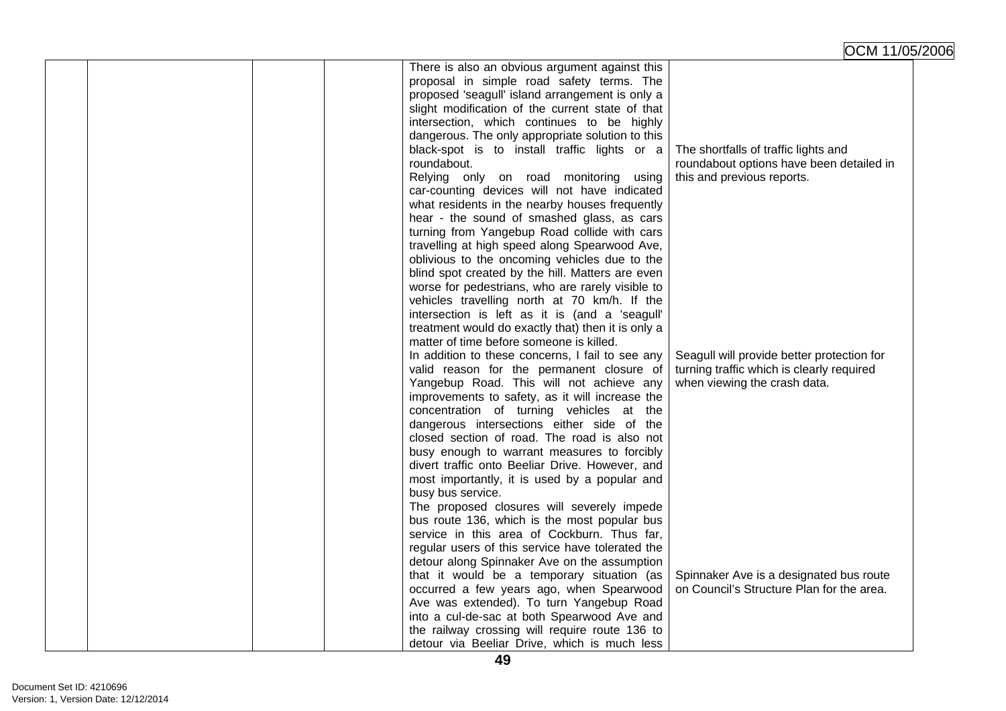|  |  | There is also an obvious argument against this     |                                            |
|--|--|----------------------------------------------------|--------------------------------------------|
|  |  | proposal in simple road safety terms. The          |                                            |
|  |  | proposed 'seagull' island arrangement is only a    |                                            |
|  |  | slight modification of the current state of that   |                                            |
|  |  | intersection, which continues to be highly         |                                            |
|  |  | dangerous. The only appropriate solution to this   |                                            |
|  |  | black-spot is to install traffic lights or a       | The shortfalls of traffic lights and       |
|  |  | roundabout.                                        | roundabout options have been detailed in   |
|  |  | Relying only on road monitoring using              | this and previous reports.                 |
|  |  | car-counting devices will not have indicated       |                                            |
|  |  | what residents in the nearby houses frequently     |                                            |
|  |  | hear - the sound of smashed glass, as cars         |                                            |
|  |  | turning from Yangebup Road collide with cars       |                                            |
|  |  | travelling at high speed along Spearwood Ave,      |                                            |
|  |  | oblivious to the oncoming vehicles due to the      |                                            |
|  |  | blind spot created by the hill. Matters are even   |                                            |
|  |  | worse for pedestrians, who are rarely visible to   |                                            |
|  |  | vehicles travelling north at 70 km/h. If the       |                                            |
|  |  |                                                    |                                            |
|  |  | intersection is left as it is (and a 'seagull'     |                                            |
|  |  | treatment would do exactly that) then it is only a |                                            |
|  |  | matter of time before someone is killed.           |                                            |
|  |  | In addition to these concerns, I fail to see any   | Seagull will provide better protection for |
|  |  | valid reason for the permanent closure of          | turning traffic which is clearly required  |
|  |  | Yangebup Road. This will not achieve any           | when viewing the crash data.               |
|  |  | improvements to safety, as it will increase the    |                                            |
|  |  | concentration of turning vehicles at the           |                                            |
|  |  | dangerous intersections either side of the         |                                            |
|  |  | closed section of road. The road is also not       |                                            |
|  |  | busy enough to warrant measures to forcibly        |                                            |
|  |  | divert traffic onto Beeliar Drive. However, and    |                                            |
|  |  | most importantly, it is used by a popular and      |                                            |
|  |  | busy bus service.                                  |                                            |
|  |  | The proposed closures will severely impede         |                                            |
|  |  | bus route 136, which is the most popular bus       |                                            |
|  |  | service in this area of Cockburn. Thus far,        |                                            |
|  |  | regular users of this service have tolerated the   |                                            |
|  |  | detour along Spinnaker Ave on the assumption       |                                            |
|  |  | that it would be a temporary situation (as         | Spinnaker Ave is a designated bus route    |
|  |  | occurred a few years ago, when Spearwood           | on Council's Structure Plan for the area.  |
|  |  | Ave was extended). To turn Yangebup Road           |                                            |
|  |  | into a cul-de-sac at both Spearwood Ave and        |                                            |
|  |  | the railway crossing will require route 136 to     |                                            |
|  |  | detour via Beeliar Drive, which is much less       |                                            |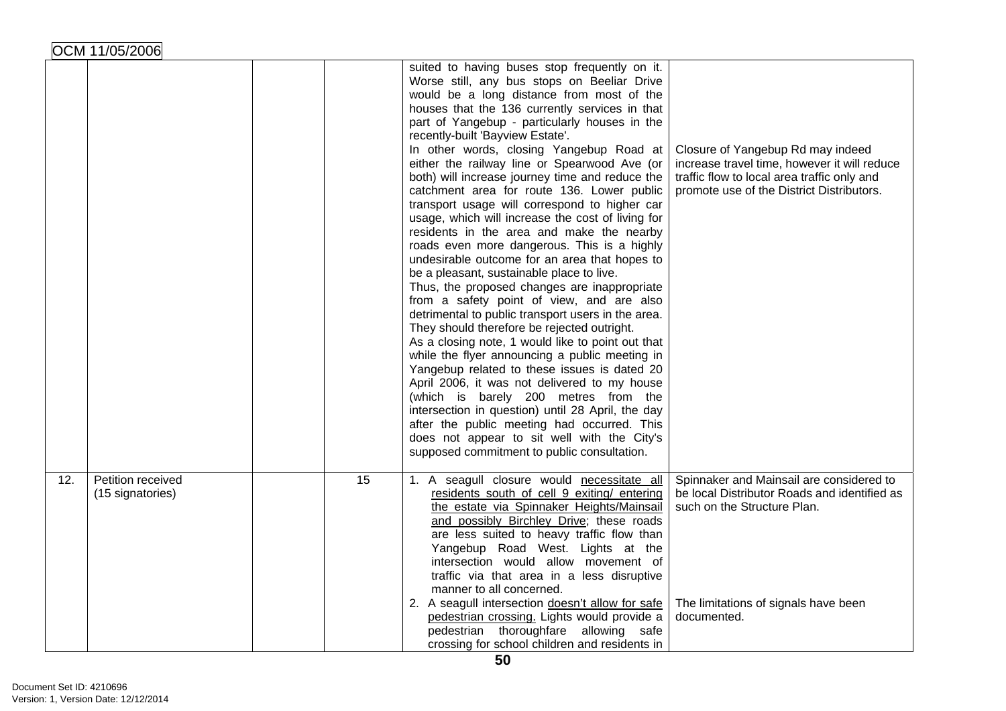|     |                                       |    | suited to having buses stop frequently on it.<br>Worse still, any bus stops on Beeliar Drive<br>would be a long distance from most of the<br>houses that the 136 currently services in that<br>part of Yangebup - particularly houses in the<br>recently-built 'Bayview Estate'.<br>In other words, closing Yangebup Road at<br>either the railway line or Spearwood Ave (or<br>both) will increase journey time and reduce the<br>catchment area for route 136. Lower public<br>transport usage will correspond to higher car<br>usage, which will increase the cost of living for<br>residents in the area and make the nearby<br>roads even more dangerous. This is a highly<br>undesirable outcome for an area that hopes to<br>be a pleasant, sustainable place to live.<br>Thus, the proposed changes are inappropriate<br>from a safety point of view, and are also<br>detrimental to public transport users in the area.                                                                                                    | Closure of Yangebup Rd may indeed<br>increase travel time, however it will reduce<br>traffic flow to local area traffic only and<br>promote use of the District Distributors.  |
|-----|---------------------------------------|----|-------------------------------------------------------------------------------------------------------------------------------------------------------------------------------------------------------------------------------------------------------------------------------------------------------------------------------------------------------------------------------------------------------------------------------------------------------------------------------------------------------------------------------------------------------------------------------------------------------------------------------------------------------------------------------------------------------------------------------------------------------------------------------------------------------------------------------------------------------------------------------------------------------------------------------------------------------------------------------------------------------------------------------------|--------------------------------------------------------------------------------------------------------------------------------------------------------------------------------|
| 12. | Petition received<br>(15 signatories) | 15 | They should therefore be rejected outright.<br>As a closing note, 1 would like to point out that<br>while the flyer announcing a public meeting in<br>Yangebup related to these issues is dated 20<br>April 2006, it was not delivered to my house<br>(which is barely 200 metres from the<br>intersection in question) until 28 April, the day<br>after the public meeting had occurred. This<br>does not appear to sit well with the City's<br>supposed commitment to public consultation.<br>1. A seagull closure would necessitate all<br>residents south of cell 9 exiting/ entering<br>the estate via Spinnaker Heights/Mainsail<br>and possibly Birchley Drive; these roads<br>are less suited to heavy traffic flow than<br>Yangebup Road West. Lights at the<br>intersection would allow movement of<br>traffic via that area in a less disruptive<br>manner to all concerned.<br>2. A seagull intersection doesn't allow for safe<br>pedestrian crossing. Lights would provide a<br>pedestrian thoroughfare allowing safe | Spinnaker and Mainsail are considered to<br>be local Distributor Roads and identified as<br>such on the Structure Plan.<br>The limitations of signals have been<br>documented. |
|     |                                       |    | crossing for school children and residents in                                                                                                                                                                                                                                                                                                                                                                                                                                                                                                                                                                                                                                                                                                                                                                                                                                                                                                                                                                                       |                                                                                                                                                                                |